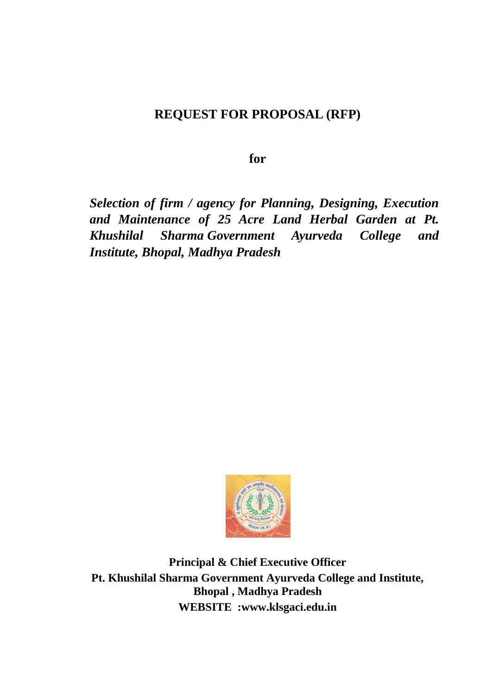# **REQUEST FOR PROPOSAL (RFP)**

**for**

*Selection of firm / agency for Planning, Designing, Execution and Maintenance of 25 Acre Land Herbal Garden at Pt. Khushilal Sharma Government Ayurveda College and Institute, Bhopal, Madhya Pradesh*



**Principal & Chief Executive Officer Pt. Khushilal Sharma Government Ayurveda College and Institute, Bhopal , Madhya Pradesh WEBSITE :www.klsgaci.edu.in**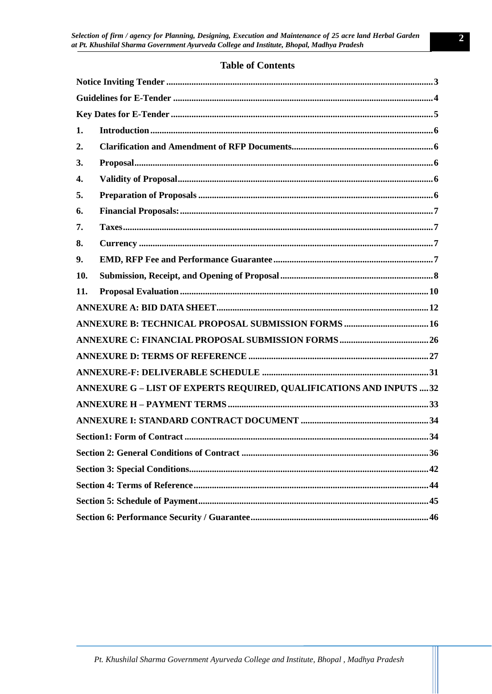# **Table of Contents**

| 1.  |                                                                      |  |  |  |
|-----|----------------------------------------------------------------------|--|--|--|
| 2.  |                                                                      |  |  |  |
| 3.  |                                                                      |  |  |  |
| 4.  |                                                                      |  |  |  |
| 5.  |                                                                      |  |  |  |
| 6.  |                                                                      |  |  |  |
| 7.  |                                                                      |  |  |  |
| 8.  |                                                                      |  |  |  |
| 9.  |                                                                      |  |  |  |
| 10. |                                                                      |  |  |  |
| 11. |                                                                      |  |  |  |
|     |                                                                      |  |  |  |
|     |                                                                      |  |  |  |
|     |                                                                      |  |  |  |
|     |                                                                      |  |  |  |
|     |                                                                      |  |  |  |
|     | ANNEXURE G - LIST OF EXPERTS REQUIRED, QUALIFICATIONS AND INPUTS  32 |  |  |  |
|     |                                                                      |  |  |  |
|     |                                                                      |  |  |  |
|     |                                                                      |  |  |  |
|     |                                                                      |  |  |  |
|     |                                                                      |  |  |  |
|     |                                                                      |  |  |  |
|     |                                                                      |  |  |  |
|     |                                                                      |  |  |  |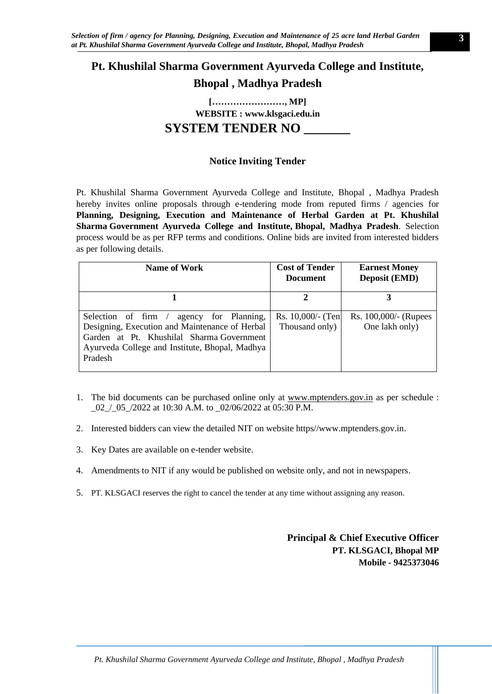# **Pt. Khushilal Sharma Government Ayurveda College and Institute,**

**Bhopal , Madhya Pradesh**

**[……………………, MP] WEBSITE : www.klsgaci.edu.in**

# **SYSTEM TENDER NO \_\_\_\_\_\_\_**

# **Notice Inviting Tender**

<span id="page-2-0"></span>Pt. Khushilal Sharma Government Ayurveda College and Institute, Bhopal , Madhya Pradesh hereby invites online proposals through e-tendering mode from reputed firms / agencies for **Planning, Designing, Execution and Maintenance of Herbal Garden at Pt. Khushilal Sharma Government Ayurveda College and Institute, Bhopal, Madhya Pradesh**. Selection process would be as per RFP terms and conditions. Online bids are invited from interested bidders as per following details.

| Name of Work                                                                                                                                                                                            | <b>Cost of Tender</b><br><b>Document</b> | <b>Earnest Money</b><br><b>Deposit (EMD)</b> |
|---------------------------------------------------------------------------------------------------------------------------------------------------------------------------------------------------------|------------------------------------------|----------------------------------------------|
|                                                                                                                                                                                                         |                                          | 3                                            |
| agency for Planning,<br>Selection of firm /<br>Designing, Execution and Maintenance of Herbal<br>Garden at Pt. Khushilal Sharma Government<br>Ayurveda College and Institute, Bhopal, Madhya<br>Pradesh | Rs. $10,000/$ - (Ten<br>Thousand only)   | Rs. 100,000/- (Rupees<br>One lakh only)      |

- 1. The bid documents can be purchased online only at [www.mptenders.gov.in](http://www.mpeproc.gov.in/) as per schedule : \_02\_/\_05\_/2022 at 10:30 A.M. to \_02/06/2022 at 05:30 P.M.
- 2. Interested bidders can view the detailed NIT on website https//www.mptenders.gov.in.
- 3. Key Dates are available on e-tender website.
- 4. Amendments to NIT if any would be published on website only, and not in newspapers.
- 5. PT. KLSGACI reserves the right to cancel the tender at any time without assigning any reason.

**Principal & Chief Executive Officer PT. KLSGACI, Bhopal MP Mobile - 9425373046**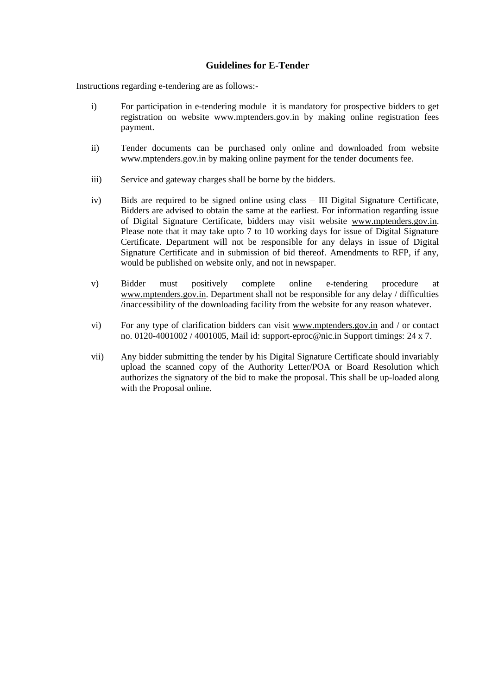# **Guidelines for E-Tender**

<span id="page-3-0"></span>Instructions regarding e-tendering are as follows:-

- i) For participation in e-tendering module it is mandatory for prospective bidders to get registration on website [www.mptenders.gov.in](http://www.mpeproc.gov.in/) by making online registration fees payment.
- ii) Tender documents can be purchased only online and downloaded from website [www.mptenders.gov.in](http://www.mpeproc.gov.in/) by making online payment for the tender documents fee.
- iii) Service and gateway charges shall be borne by the bidders.
- iv) Bids are required to be signed online using class III Digital Signature Certificate, Bidders are advised to obtain the same at the earliest. For information regarding issue of Digital Signature Certificate, bidders may visit website [www.mptenders.gov.in.](http://www.mpeproc.gov.in/) Please note that it may take upto 7 to 10 working days for issue of Digital Signature Certificate. Department will not be responsible for any delays in issue of Digital Signature Certificate and in submission of bid thereof. Amendments to RFP, if any, would be published on website only, and not in newspaper.
- v) Bidder must positively complete online e-tendering procedure at [www.mptenders.gov.in.](http://www.mpeproc.gov.in/) Department shall not be responsible for any delay / difficulties /inaccessibility of the downloading facility from the website for any reason whatever.
- vi) For any type of clarification bidders can visit [www.mptenders.gov.in](http://www.mpeproc.gov.in/) and / or contact no. 0120-4001002 / 4001005, Mail id: support-eproc@nic.in Support timings: 24 x 7.
- vii) Any bidder submitting the tender by his Digital Signature Certificate should invariably upload the scanned copy of the Authority Letter/POA or Board Resolution which authorizes the signatory of the bid to make the proposal. This shall be up-loaded along with the Proposal online.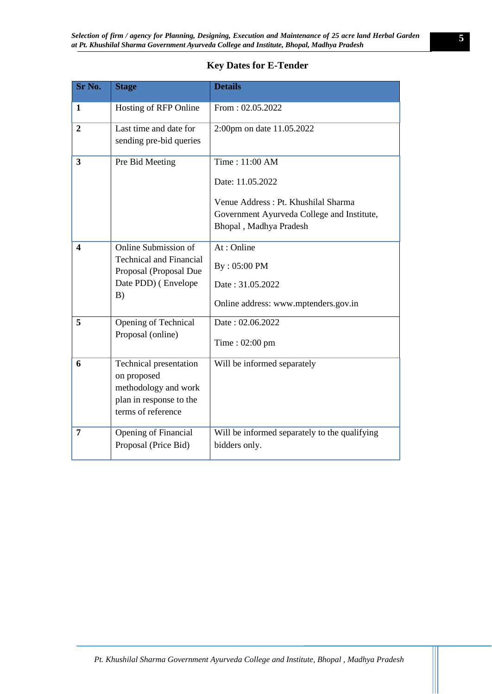# **Key Dates for E-Tender**

<span id="page-4-0"></span>

| Sr No.                  | <b>Stage</b>                                                                                                   | <b>Details</b>                                                                                                                                    |
|-------------------------|----------------------------------------------------------------------------------------------------------------|---------------------------------------------------------------------------------------------------------------------------------------------------|
| 1                       | Hosting of RFP Online                                                                                          | From: 02.05.2022                                                                                                                                  |
| $\overline{2}$          | Last time and date for<br>sending pre-bid queries                                                              | 2:00pm on date 11.05.2022                                                                                                                         |
| $\overline{\mathbf{3}}$ | Pre Bid Meeting                                                                                                | Time: 11:00 AM<br>Date: 11.05.2022<br>Venue Address: Pt. Khushilal Sharma<br>Government Ayurveda College and Institute,<br>Bhopal, Madhya Pradesh |
| $\overline{\mathbf{4}}$ | Online Submission of<br><b>Technical and Financial</b><br>Proposal (Proposal Due<br>Date PDD) (Envelope<br>B)  | At: Online<br>By: 05:00 PM<br>Date: 31.05.2022<br>Online address: www.mptenders.gov.in                                                            |
| 5                       | Opening of Technical<br>Proposal (online)                                                                      | Date: 02.06.2022<br>Time: $02:00$ pm                                                                                                              |
| 6                       | Technical presentation<br>on proposed<br>methodology and work<br>plan in response to the<br>terms of reference | Will be informed separately                                                                                                                       |
| 7                       | Opening of Financial<br>Proposal (Price Bid)                                                                   | Will be informed separately to the qualifying<br>bidders only.                                                                                    |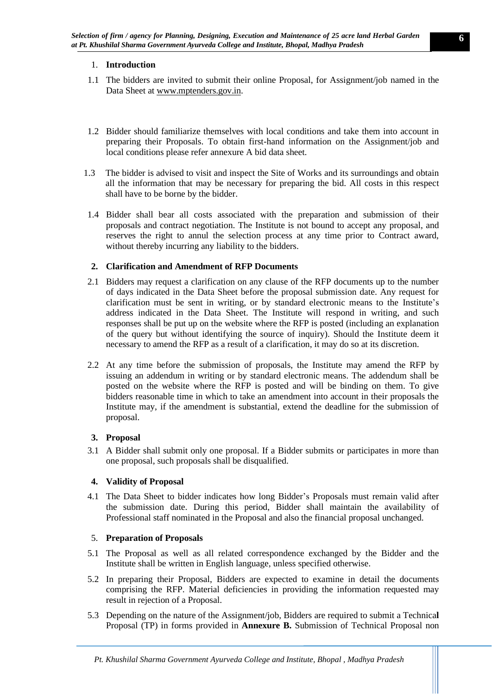# <span id="page-5-0"></span>1. **Introduction**

- 1.1 The bidders are invited to submit their online Proposal, for Assignment/job named in the Data Sheet at [www.mptenders.gov.in.](http://www.mptenders.gov.in/)
- 1.2 Bidder should familiarize themselves with local conditions and take them into account in preparing their Proposals. To obtain first-hand information on the Assignment/job and local conditions please refer annexure A bid data sheet.
- 1.3 The bidder is advised to visit and inspect the Site of Works and its surroundings and obtain all the information that may be necessary for preparing the bid. All costs in this respect shall have to be borne by the bidder.
- 1.4 Bidder shall bear all costs associated with the preparation and submission of their proposals and contract negotiation. The Institute is not bound to accept any proposal, and reserves the right to annul the selection process at any time prior to Contract award, without thereby incurring any liability to the bidders.

# <span id="page-5-1"></span>**2. Clarification and Amendment of RFP Documents**

- 2.1 Bidders may request a clarification on any clause of the RFP documents up to the number of days indicated in the Data Sheet before the proposal submission date. Any request for clarification must be sent in writing, or by standard electronic means to the Institute's address indicated in the Data Sheet. The Institute will respond in writing, and such responses shall be put up on the website where the RFP is posted (including an explanation of the query but without identifying the source of inquiry). Should the Institute deem it necessary to amend the RFP as a result of a clarification, it may do so at its discretion.
- 2.2 At any time before the submission of proposals, the Institute may amend the RFP by issuing an addendum in writing or by standard electronic means. The addendum shall be posted on the website where the RFP is posted and will be binding on them. To give bidders reasonable time in which to take an amendment into account in their proposals the Institute may, if the amendment is substantial, extend the deadline for the submission of proposal.

# <span id="page-5-2"></span>**3. Proposal**

3.1 A Bidder shall submit only one proposal. If a Bidder submits or participates in more than one proposal, such proposals shall be disqualified.

# <span id="page-5-3"></span>**4. Validity of Proposal**

4.1 The Data Sheet to bidder indicates how long Bidder's Proposals must remain valid after the submission date. During this period, Bidder shall maintain the availability of Professional staff nominated in the Proposal and also the financial proposal unchanged.

### <span id="page-5-4"></span>5. **Preparation of Proposals**

- 5.1 The Proposal as well as all related correspondence exchanged by the Bidder and the Institute shall be written in English language, unless specified otherwise.
- 5.2 In preparing their Proposal, Bidders are expected to examine in detail the documents comprising the RFP. Material deficiencies in providing the information requested may result in rejection of a Proposal.
- 5.3 Depending on the nature of the Assignment/job, Bidders are required to submit a Technica**l**  Proposal (TP) in forms provided in **Annexure B.** Submission of Technical Proposal non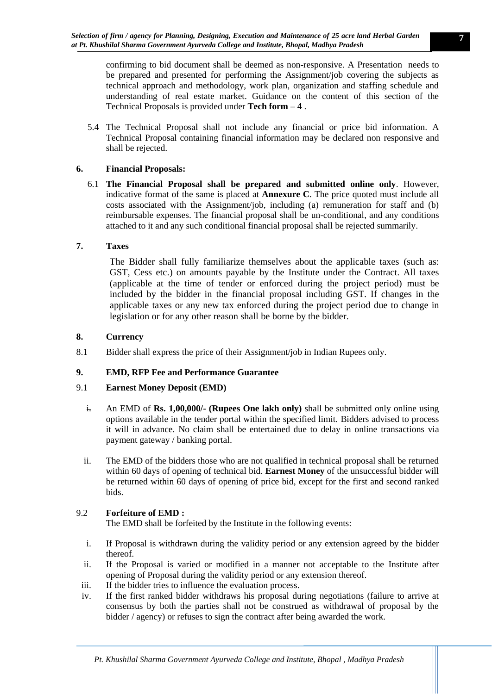confirming to bid document shall be deemed as non-responsive. A Presentation needs to be prepared and presented for performing the Assignment/job covering the subjects as technical approach and methodology, work plan, organization and staffing schedule and understanding of real estate market. Guidance on the content of this section of the Technical Proposals is provided under **Tech form – 4** .

5.4 The Technical Proposal shall not include any financial or price bid information. A Technical Proposal containing financial information may be declared non responsive and shall be rejected.

# <span id="page-6-0"></span>**6. Financial Proposals:**

6.1 **The Financial Proposal shall be prepared and submitted online only**. However, indicative format of the same is placed at **Annexure C**. The price quoted must include all costs associated with the Assignment/job, including (a) remuneration for staff and (b) reimbursable expenses. The financial proposal shall be un-conditional, and any conditions attached to it and any such conditional financial proposal shall be rejected summarily.

# <span id="page-6-1"></span>**7. Taxes**

The Bidder shall fully familiarize themselves about the applicable taxes (such as: GST, Cess etc.) on amounts payable by the Institute under the Contract. All taxes (applicable at the time of tender or enforced during the project period) must be included by the bidder in the financial proposal including GST. If changes in the applicable taxes or any new tax enforced during the project period due to change in legislation or for any other reason shall be borne by the bidder.

### <span id="page-6-2"></span>**8. Currency**

8.1 Bidder shall express the price of their Assignment/job in Indian Rupees only.

# <span id="page-6-3"></span>**9. EMD, RFP Fee and Performance Guarantee**

### 9.1 **Earnest Money Deposit (EMD)**

- i. An EMD of **Rs. 1,00,000/- (Rupees One lakh only)** shall be submitted only online using options available in the tender portal within the specified limit. Bidders advised to process it will in advance. No claim shall be entertained due to delay in online transactions via payment gateway / banking portal.
- ii. The EMD of the bidders those who are not qualified in technical proposal shall be returned within 60 days of opening of technical bid. **Earnest Money** of the unsuccessful bidder will be returned within 60 days of opening of price bid, except for the first and second ranked bids.

# 9.2 **Forfeiture of EMD :**

The EMD shall be forfeited by the Institute in the following events:

- i. If Proposal is withdrawn during the validity period or any extension agreed by the bidder thereof.
- ii. If the Proposal is varied or modified in a manner not acceptable to the Institute after opening of Proposal during the validity period or any extension thereof.
- iii. If the bidder tries to influence the evaluation process.
- iv. If the first ranked bidder withdraws his proposal during negotiations (failure to arrive at consensus by both the parties shall not be construed as withdrawal of proposal by the bidder / agency) or refuses to sign the contract after being awarded the work.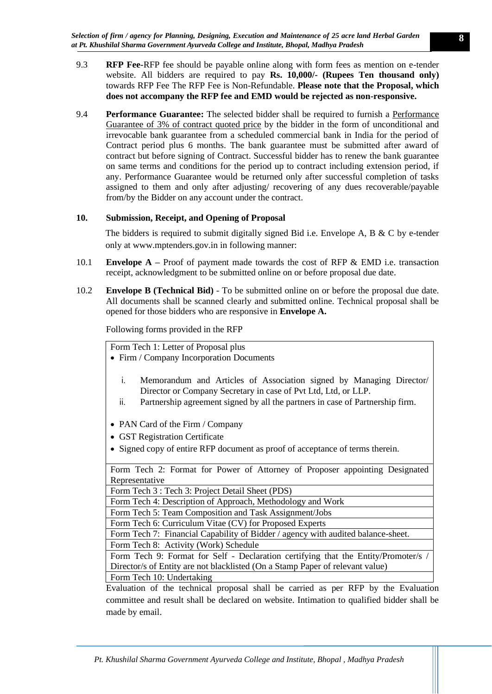- 9.3 **RFP Fee-**RFP fee should be payable online along with form fees as mention on e-tender website. All bidders are required to pay **Rs. 10,000/- (Rupees Ten thousand only)**  towards RFP Fee The RFP Fee is Non-Refundable. **Please note that the Proposal, which does not accompany the RFP fee and EMD would be rejected as non-responsive.**
- 9.4 **Performance Guarantee:** The selected bidder shall be required to furnish a Performance Guarantee of 3% of contract quoted price by the bidder in the form of unconditional and irrevocable bank guarantee from a scheduled commercial bank in India for the period of Contract period plus 6 months. The bank guarantee must be submitted after award of contract but before signing of Contract. Successful bidder has to renew the bank guarantee on same terms and conditions for the period up to contract including extension period, if any. Performance Guarantee would be returned only after successful completion of tasks assigned to them and only after adjusting/ recovering of any dues recoverable/payable from/by the Bidder on any account under the contract.

# <span id="page-7-0"></span>**10. Submission, Receipt, and Opening of Proposal**

The bidders is required to submit digitally signed Bid i.e. Envelope A, B  $\&$  C by e-tender only at www.mptenders.gov.in in following manner:

- 10.1 **Envelope A –** Proof of payment made towards the cost of RFP & EMD i.e. transaction receipt, acknowledgment to be submitted online on or before proposal due date.
- 10.2 **Envelope B (Technical Bid)** To be submitted online on or before the proposal due date. All documents shall be scanned clearly and submitted online. Technical proposal shall be opened for those bidders who are responsive in **Envelope A.**

Following forms provided in the RFP

Form Tech 1: Letter of Proposal plus

- Firm / Company Incorporation Documents
	- i. Memorandum and Articles of Association signed by Managing Director/ Director or Company Secretary in case of Pvt Ltd, Ltd, or LLP.
	- ii. Partnership agreement signed by all the partners in case of Partnership firm.
- PAN Card of the Firm / Company
- GST Registration Certificate
- Signed copy of entire RFP document as proof of acceptance of terms therein.

Form Tech 2: Format for Power of Attorney of Proposer appointing Designated Representative

Form Tech 3 : Tech 3: Project Detail Sheet (PDS)

Form Tech 4: Description of Approach, Methodology and Work

Form Tech 5: Team Composition and Task Assignment/Jobs

Form Tech 6: Curriculum Vitae (CV) for Proposed Experts

Form Tech 7: Financial Capability of Bidder / agency with audited balance-sheet.

Form Tech 8: Activity (Work) Schedule

Form Tech 9: Format for Self - Declaration certifying that the Entity/Promoter/s / Director/s of Entity are not blacklisted (On a Stamp Paper of relevant value)

Form Tech 10: Undertaking

Evaluation of the technical proposal shall be carried as per RFP by the Evaluation committee and result shall be declared on website. Intimation to qualified bidder shall be made by email.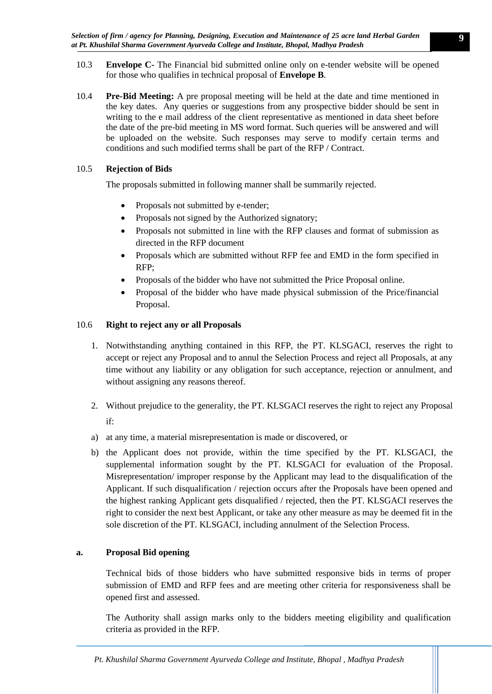- 10.3 **Envelope C-** The Financial bid submitted online only on e-tender website will be opened for those who qualifies in technical proposal of **Envelope B**.
- 10.4 **Pre-Bid Meeting:** A pre proposal meeting will be held at the date and time mentioned in the key dates. Any queries or suggestions from any prospective bidder should be sent in writing to the e mail address of the client representative as mentioned in data sheet before the date of the pre-bid meeting in MS word format. Such queries will be answered and will be uploaded on the website. Such responses may serve to modify certain terms and conditions and such modified terms shall be part of the RFP / Contract.

# 10.5 **Rejection of Bids**

The proposals submitted in following manner shall be summarily rejected.

- Proposals not submitted by e-tender;
- Proposals not signed by the Authorized signatory;
- Proposals not submitted in line with the RFP clauses and format of submission as directed in the RFP document
- Proposals which are submitted without RFP fee and EMD in the form specified in RFP;
- Proposals of the bidder who have not submitted the Price Proposal online.
- Proposal of the bidder who have made physical submission of the Price/financial Proposal.

# 10.6 **Right to reject any or all Proposals**

- 1. Notwithstanding anything contained in this RFP, the PT. KLSGACI, reserves the right to accept or reject any Proposal and to annul the Selection Process and reject all Proposals, at any time without any liability or any obligation for such acceptance, rejection or annulment, and without assigning any reasons thereof.
- 2. Without prejudice to the generality, the PT. KLSGACI reserves the right to reject any Proposal if:
- a) at any time, a material misrepresentation is made or discovered, or
- b) the Applicant does not provide, within the time specified by the PT. KLSGACI, the supplemental information sought by the PT. KLSGACI for evaluation of the Proposal. Misrepresentation/ improper response by the Applicant may lead to the disqualification of the Applicant. If such disqualification / rejection occurs after the Proposals have been opened and the highest ranking Applicant gets disqualified / rejected, then the PT. KLSGACI reserves the right to consider the next best Applicant, or take any other measure as may be deemed fit in the sole discretion of the PT. KLSGACI, including annulment of the Selection Process.

# **a. Proposal Bid opening**

Technical bids of those bidders who have submitted responsive bids in terms of proper submission of EMD and RFP fees and are meeting other criteria for responsiveness shall be opened first and assessed.

The Authority shall assign marks only to the bidders meeting eligibility and qualification criteria as provided in the RFP.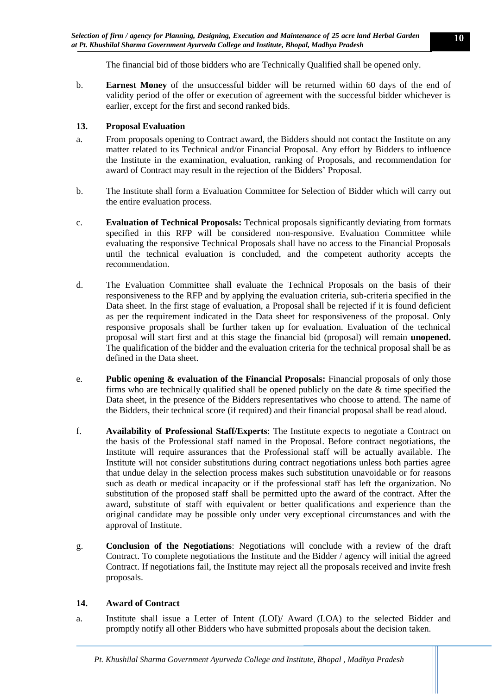The financial bid of those bidders who are Technically Qualified shall be opened only.

b. **Earnest Money** of the unsuccessful bidder will be returned within 60 days of the end of validity period of the offer or execution of agreement with the successful bidder whichever is earlier, except for the first and second ranked bids.

# <span id="page-9-0"></span>**13. Proposal Evaluation**

- a. From proposals opening to Contract award, the Bidders should not contact the Institute on any matter related to its Technical and/or Financial Proposal. Any effort by Bidders to influence the Institute in the examination, evaluation, ranking of Proposals, and recommendation for award of Contract may result in the rejection of the Bidders' Proposal.
- b. The Institute shall form a Evaluation Committee for Selection of Bidder which will carry out the entire evaluation process.
- c. **Evaluation of Technical Proposals:** Technical proposals significantly deviating from formats specified in this RFP will be considered non-responsive. Evaluation Committee while evaluating the responsive Technical Proposals shall have no access to the Financial Proposals until the technical evaluation is concluded, and the competent authority accepts the recommendation.
- d. The Evaluation Committee shall evaluate the Technical Proposals on the basis of their responsiveness to the RFP and by applying the evaluation criteria, sub-criteria specified in the Data sheet. In the first stage of evaluation, a Proposal shall be rejected if it is found deficient as per the requirement indicated in the Data sheet for responsiveness of the proposal. Only responsive proposals shall be further taken up for evaluation. Evaluation of the technical proposal will start first and at this stage the financial bid (proposal) will remain **unopened.**  The qualification of the bidder and the evaluation criteria for the technical proposal shall be as defined in the Data sheet.
- e. **Public opening & evaluation of the Financial Proposals:** Financial proposals of only those firms who are technically qualified shall be opened publicly on the date  $\&$  time specified the Data sheet, in the presence of the Bidders representatives who choose to attend. The name of the Bidders, their technical score (if required) and their financial proposal shall be read aloud.
- f. **Availability of Professional Staff/Experts**: The Institute expects to negotiate a Contract on the basis of the Professional staff named in the Proposal. Before contract negotiations, the Institute will require assurances that the Professional staff will be actually available. The Institute will not consider substitutions during contract negotiations unless both parties agree that undue delay in the selection process makes such substitution unavoidable or for reasons such as death or medical incapacity or if the professional staff has left the organization. No substitution of the proposed staff shall be permitted upto the award of the contract. After the award, substitute of staff with equivalent or better qualifications and experience than the original candidate may be possible only under very exceptional circumstances and with the approval of Institute.
- g. **Conclusion of the Negotiations**: Negotiations will conclude with a review of the draft Contract. To complete negotiations the Institute and the Bidder / agency will initial the agreed Contract. If negotiations fail, the Institute may reject all the proposals received and invite fresh proposals.

### **14. Award of Contract**

a. Institute shall issue a Letter of Intent (LOI)/ Award (LOA) to the selected Bidder and promptly notify all other Bidders who have submitted proposals about the decision taken.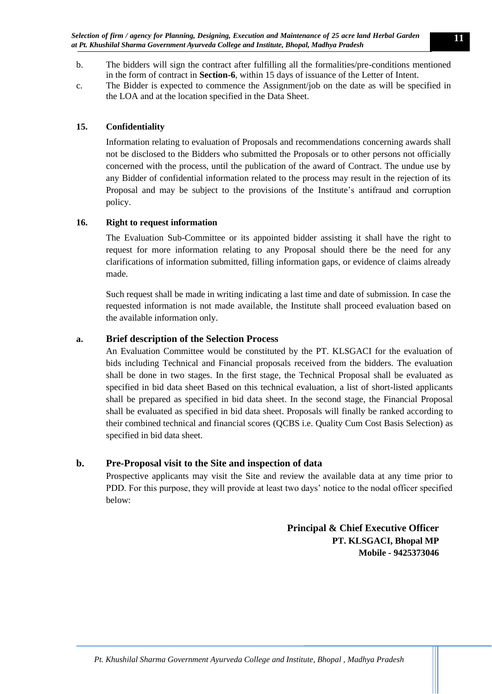- b. The bidders will sign the contract after fulfilling all the formalities/pre-conditions mentioned in the form of contract in **Section-6**, within 15 days of issuance of the Letter of Intent.
- c. The Bidder is expected to commence the Assignment/job on the date as will be specified in the LOA and at the location specified in the Data Sheet.

# **15. Confidentiality**

Information relating to evaluation of Proposals and recommendations concerning awards shall not be disclosed to the Bidders who submitted the Proposals or to other persons not officially concerned with the process, until the publication of the award of Contract. The undue use by any Bidder of confidential information related to the process may result in the rejection of its Proposal and may be subject to the provisions of the Institute's antifraud and corruption policy.

# **16. Right to request information**

The Evaluation Sub-Committee or its appointed bidder assisting it shall have the right to request for more information relating to any Proposal should there be the need for any clarifications of information submitted, filling information gaps, or evidence of claims already made.

Such request shall be made in writing indicating a last time and date of submission. In case the requested information is not made available, the Institute shall proceed evaluation based on the available information only.

# **a. Brief description of the Selection Process**

An Evaluation Committee would be constituted by the PT. KLSGACI for the evaluation of bids including Technical and Financial proposals received from the bidders. The evaluation shall be done in two stages. In the first stage, the Technical Proposal shall be evaluated as specified in bid data sheet Based on this technical evaluation, a list of short-listed applicants shall be prepared as specified in bid data sheet. In the second stage, the Financial Proposal shall be evaluated as specified in bid data sheet. Proposals will finally be ranked according to their combined technical and financial scores (QCBS i.e. Quality Cum Cost Basis Selection) as specified in bid data sheet.

# **b. Pre-Proposal visit to the Site and inspection of data**

Prospective applicants may visit the Site and review the available data at any time prior to PDD. For this purpose, they will provide at least two days' notice to the nodal officer specified below:

> **Principal & Chief Executive Officer PT. KLSGACI, Bhopal MP Mobile - 9425373046**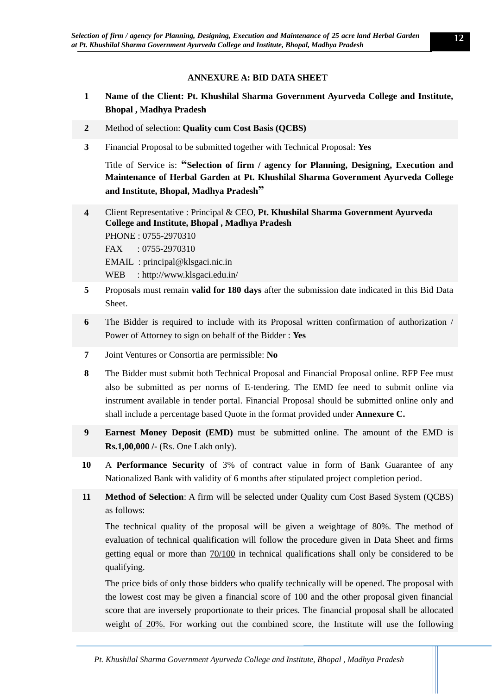# **ANNEXURE A: BID DATA SHEET**

- <span id="page-11-0"></span>**1 Name of the Client: Pt. Khushilal Sharma Government Ayurveda College and Institute, Bhopal , Madhya Pradesh**
- **2** Method of selection: **Quality cum Cost Basis (QCBS)**
- **3** Financial Proposal to be submitted together with Technical Proposal: **Yes**

Title of Service is: **"Selection of firm / agency for Planning, Designing, Execution and Maintenance of Herbal Garden at Pt. Khushilal Sharma Government Ayurveda College and Institute, Bhopal, Madhya Pradesh"**

- **4** Client Representative : Principal & CEO, **Pt. Khushilal Sharma Government Ayurveda College and Institute, Bhopal , Madhya Pradesh** PHONE : 0755-2970310 FAX : 0755-2970310 EMAIL : [principal@klsgaci.nic.in](http://klsgaci.edu.in/index.php) WEB : http://www.klsgaci.edu.in/
- **5** Proposals must remain **valid for 180 days** after the submission date indicated in this Bid Data **Sheet**
- **6** The Bidder is required to include with its Proposal written confirmation of authorization / Power of Attorney to sign on behalf of the Bidder : **Yes**
- **7** Joint Ventures or Consortia are permissible: **No**
- **8** The Bidder must submit both Technical Proposal and Financial Proposal online. RFP Fee must also be submitted as per norms of E-tendering. The EMD fee need to submit online via instrument available in tender portal. Financial Proposal should be submitted online only and shall include a percentage based Quote in the format provided under **Annexure C.**
- **9 Earnest Money Deposit (EMD)** must be submitted online. The amount of the EMD is **Rs.1,00,000 /-** (Rs. One Lakh only).
- **10** A **Performance Security** of 3% of contract value in form of Bank Guarantee of any Nationalized Bank with validity of 6 months after stipulated project completion period.
- **11 Method of Selection**: A firm will be selected under Quality cum Cost Based System (QCBS) as follows:

The technical quality of the proposal will be given a weightage of 80%. The method of evaluation of technical qualification will follow the procedure given in Data Sheet and firms getting equal or more than 70/100 in technical qualifications shall only be considered to be qualifying.

The price bids of only those bidders who qualify technically will be opened. The proposal with the lowest cost may be given a financial score of 100 and the other proposal given financial score that are inversely proportionate to their prices. The financial proposal shall be allocated weight of 20%. For working out the combined score, the Institute will use the following

*Pt. Khushilal Sharma Government Ayurveda College and Institute, Bhopal , Madhya Pradesh*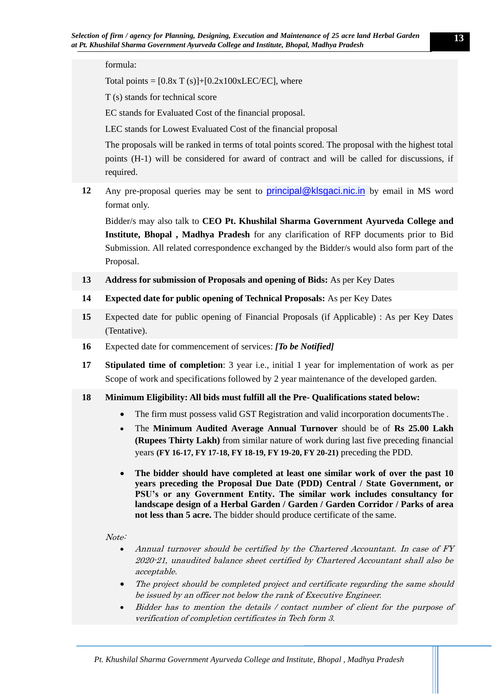### formula:

Total points =  $[0.8x T(s)]+[0.2x100xLEC/EC]$ , where

T (s) stands for technical score

EC stands for Evaluated Cost of the financial proposal.

LEC stands for Lowest Evaluated Cost of the financial proposal

The proposals will be ranked in terms of total points scored. The proposal with the highest total points (H-1) will be considered for award of contract and will be called for discussions, if required.

**12** Any pre-proposal queries may be sent to [principal@klsgaci.nic.in](mailto:principal@klsgaci.nic.in) by email in MS word format only.

Bidder/s may also talk to **CEO Pt. Khushilal Sharma Government Ayurveda College and Institute, Bhopal , Madhya Pradesh** for any clarification of RFP documents prior to Bid Submission. All related correspondence exchanged by the Bidder/s would also form part of the Proposal.

**13 Address for submission of Proposals and opening of Bids:** As per Key Dates

- **14 Expected date for public opening of Technical Proposals:** As per Key Dates
- **15** Expected date for public opening of Financial Proposals (if Applicable) : As per Key Dates (Tentative).
- **16** Expected date for commencement of services: *[To be Notified]*
- **17 Stipulated time of completion**: 3 year i.e., initial 1 year for implementation of work as per Scope of work and specifications followed by 2 year maintenance of the developed garden.

#### **18 Minimum Eligibility: All bids must fulfill all the Pre- Qualifications stated below:**

- The firm must possess valid GST Registration and valid incorporation documentsThe .
- The **Minimum Audited Average Annual Turnover** should be of **Rs 25.00 Lakh (Rupees Thirty Lakh)** from similar nature of work during last five preceding financial years **(FY 16-17, FY 17-18, FY 18-19, FY 19-20, FY 20-21)** preceding the PDD.
- **The bidder should have completed at least one similar work of over the past 10 years preceding the Proposal Due Date (PDD) Central / State Government, or PSU's or any Government Entity. The similar work includes consultancy for landscape design of a Herbal Garden / Garden / Garden Corridor / Parks of area not less than 5 acre.** The bidder should produce certificate of the same.

#### Note:

- Annual turnover should be certified by the Chartered Accountant. In case of FY 2020-21, unaudited balance sheet certified by Chartered Accountant shall also be acceptable.
- The project should be completed project and certificate regarding the same should be issued by an officer not below the rank of Executive Engineer.
- Bidder has to mention the details / contact number of client for the purpose of verification of completion certificates in Tech form 3.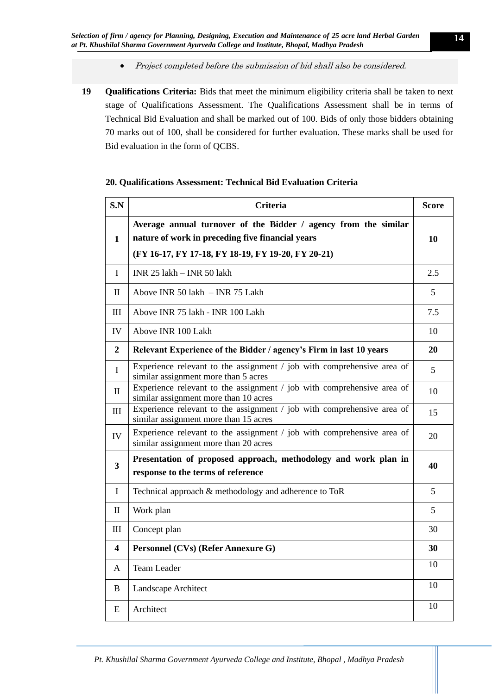- Project completed before the submission of bid shall also be considered.
- **19 Qualifications Criteria:** Bids that meet the minimum eligibility criteria shall be taken to next stage of Qualifications Assessment. The Qualifications Assessment shall be in terms of Technical Bid Evaluation and shall be marked out of 100. Bids of only those bidders obtaining 70 marks out of 100, shall be considered for further evaluation. These marks shall be used for Bid evaluation in the form of QCBS.

| S.N                     | <b>Criteria</b>                                                                                                                                                           | <b>Score</b> |
|-------------------------|---------------------------------------------------------------------------------------------------------------------------------------------------------------------------|--------------|
| $\mathbf{1}$            | Average annual turnover of the Bidder / agency from the similar<br>nature of work in preceding five financial years<br>(FY 16-17, FY 17-18, FY 18-19, FY 19-20, FY 20-21) | 10           |
| $\mathbf I$             | INR 25 lakh - INR 50 lakh                                                                                                                                                 | 2.5          |
| $\mathbf{I}$            | Above INR 50 lakh - INR 75 Lakh                                                                                                                                           | 5            |
| III                     | Above INR 75 lakh - INR 100 Lakh                                                                                                                                          | 7.5          |
| IV                      | Above INR 100 Lakh                                                                                                                                                        | 10           |
| $\overline{2}$          | Relevant Experience of the Bidder / agency's Firm in last 10 years                                                                                                        | 20           |
| $\mathbf{I}$            | Experience relevant to the assignment / job with comprehensive area of<br>similar assignment more than 5 acres                                                            | 5            |
| $\mathbf{I}$            | Experience relevant to the assignment / job with comprehensive area of<br>similar assignment more than 10 acres                                                           | 10           |
| III                     | Experience relevant to the assignment / job with comprehensive area of<br>similar assignment more than 15 acres                                                           | 15           |
| IV                      | Experience relevant to the assignment / job with comprehensive area of<br>similar assignment more than 20 acres                                                           | 20           |
| $\overline{\mathbf{3}}$ | Presentation of proposed approach, methodology and work plan in<br>response to the terms of reference                                                                     | 40           |
| $\mathbf I$             | Technical approach & methodology and adherence to ToR                                                                                                                     | 5            |
| $\mathbf{I}$            | Work plan                                                                                                                                                                 | 5            |
| III                     | Concept plan                                                                                                                                                              | 30           |
| $\overline{\mathbf{4}}$ | Personnel (CVs) (Refer Annexure G)                                                                                                                                        | 30           |
| A                       | <b>Team Leader</b>                                                                                                                                                        | 10           |
| $\bf{B}$                | Landscape Architect                                                                                                                                                       | 10           |
| E                       | Architect                                                                                                                                                                 | 10           |

### **20. Qualifications Assessment: Technical Bid Evaluation Criteria**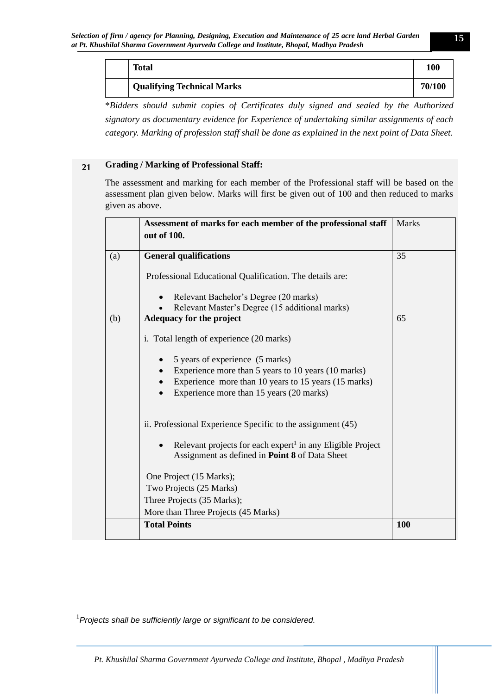| <b>Total</b>                      | 100    |
|-----------------------------------|--------|
| <b>Qualifying Technical Marks</b> | 70/100 |

\**Bidders should submit copies of Certificates duly signed and sealed by the Authorized signatory as documentary evidence for Experience of undertaking similar assignments of each category. Marking of profession staff shall be done as explained in the next point of Data Sheet.* 

# **21 Grading / Marking of Professional Staff:**

The assessment and marking for each member of the Professional staff will be based on the assessment plan given below. Marks will first be given out of 100 and then reduced to marks given as above.

|     | Assessment of marks for each member of the professional staff<br>out of 100.                                                                 | <b>Marks</b> |
|-----|----------------------------------------------------------------------------------------------------------------------------------------------|--------------|
| (a) | <b>General qualifications</b>                                                                                                                | 35           |
|     | Professional Educational Qualification. The details are:                                                                                     |              |
|     | Relevant Bachelor's Degree (20 marks)<br>$\bullet$                                                                                           |              |
|     | Relevant Master's Degree (15 additional marks)                                                                                               |              |
| (b) | Adequacy for the project                                                                                                                     | 65           |
|     | i. Total length of experience (20 marks)                                                                                                     |              |
|     | 5 years of experience (5 marks)<br>$\bullet$                                                                                                 |              |
|     | Experience more than 5 years to 10 years (10 marks)<br>$\bullet$                                                                             |              |
|     | Experience more than 10 years to 15 years (15 marks)<br>$\bullet$                                                                            |              |
|     | Experience more than 15 years (20 marks)<br>$\bullet$                                                                                        |              |
|     | ii. Professional Experience Specific to the assignment (45)                                                                                  |              |
|     | Relevant projects for each expert <sup>1</sup> in any Eligible Project<br>$\bullet$<br>Assignment as defined in <b>Point 8</b> of Data Sheet |              |
|     | One Project (15 Marks);                                                                                                                      |              |
|     | Two Projects (25 Marks)                                                                                                                      |              |
|     | Three Projects (35 Marks);                                                                                                                   |              |
|     | More than Three Projects (45 Marks)                                                                                                          |              |
|     | <b>Total Points</b>                                                                                                                          | 100          |
|     |                                                                                                                                              |              |

<sup>1</sup>*Projects shall be sufficiently large or significant to be considered.*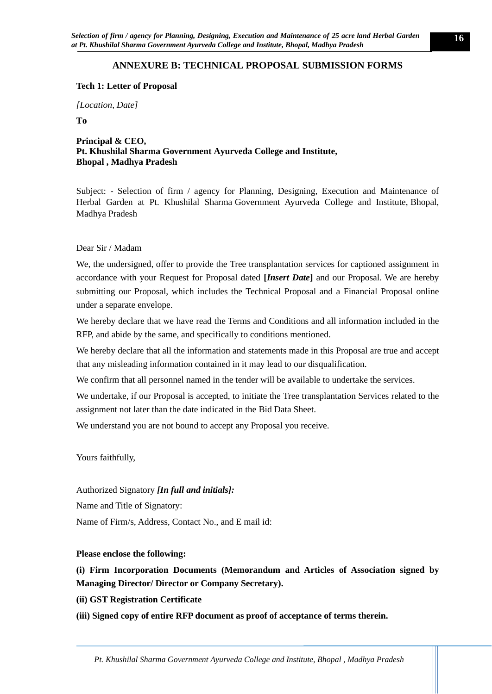# **ANNEXURE B: TECHNICAL PROPOSAL SUBMISSION FORMS**

#### <span id="page-15-0"></span>**Tech 1: Letter of Proposal**

*[Location, Date]*

**To** 

**Principal & CEO, Pt. Khushilal Sharma Government Ayurveda College and Institute, Bhopal , Madhya Pradesh**

Subject: - Selection of firm / agency for Planning, Designing, Execution and Maintenance of Herbal Garden at Pt. Khushilal Sharma Government Ayurveda College and Institute, Bhopal, Madhya Pradesh

### Dear Sir / Madam

We, the undersigned, offer to provide the Tree transplantation services for captioned assignment in accordance with your Request for Proposal dated **[***Insert Date***]** and our Proposal. We are hereby submitting our Proposal, which includes the Technical Proposal and a Financial Proposal online under a separate envelope.

We hereby declare that we have read the Terms and Conditions and all information included in the RFP, and abide by the same, and specifically to conditions mentioned.

We hereby declare that all the information and statements made in this Proposal are true and accept that any misleading information contained in it may lead to our disqualification.

We confirm that all personnel named in the tender will be available to undertake the services.

We undertake, if our Proposal is accepted, to initiate the Tree transplantation Services related to the assignment not later than the date indicated in the Bid Data Sheet.

We understand you are not bound to accept any Proposal you receive.

Yours faithfully,

Authorized Signatory *[In full and initials]:*

Name and Title of Signatory:

Name of Firm/s, Address, Contact No., and E mail id:

#### **Please enclose the following:**

**(i) Firm Incorporation Documents (Memorandum and Articles of Association signed by Managing Director/ Director or Company Secretary).** 

**(ii) GST Registration Certificate**

**(iii) Signed copy of entire RFP document as proof of acceptance of terms therein.**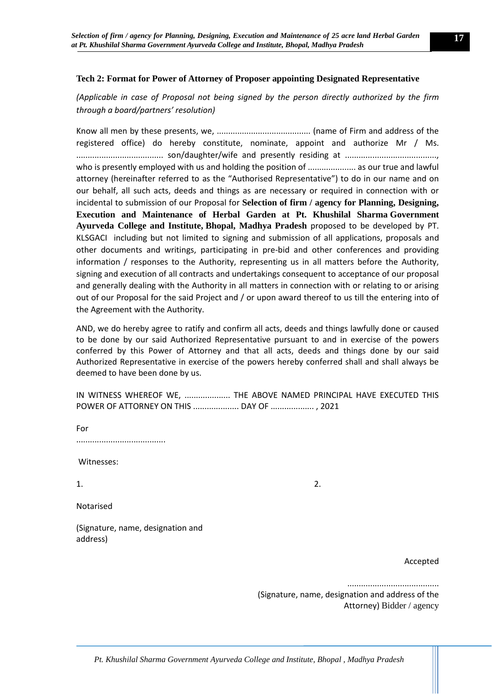# **Tech 2: Format for Power of Attorney of Proposer appointing Designated Representative**

# *(Applicable in case of Proposal not being signed by the person directly authorized by the firm through a board/partners' resolution)*

Know all men by these presents, we, ......................................... (name of Firm and address of the registered office) do hereby constitute, nominate, appoint and authorize Mr / Ms. ...................................... son/daughter/wife and presently residing at ........................................, who is presently employed with us and holding the position of ............................ as our true and lawful attorney (hereinafter referred to as the "Authorised Representative") to do in our name and on our behalf, all such acts, deeds and things as are necessary or required in connection with or incidental to submission of our Proposal for **Selection of firm / agency for Planning, Designing, Execution and Maintenance of Herbal Garden at Pt. Khushilal Sharma Government Ayurveda College and Institute, Bhopal, Madhya Pradesh** proposed to be developed by PT. KLSGACI including but not limited to signing and submission of all applications, proposals and other documents and writings, participating in pre-bid and other conferences and providing information / responses to the Authority, representing us in all matters before the Authority, signing and execution of all contracts and undertakings consequent to acceptance of our proposal and generally dealing with the Authority in all matters in connection with or relating to or arising out of our Proposal for the said Project and / or upon award thereof to us till the entering into of the Agreement with the Authority.

AND, we do hereby agree to ratify and confirm all acts, deeds and things lawfully done or caused to be done by our said Authorized Representative pursuant to and in exercise of the powers conferred by this Power of Attorney and that all acts, deeds and things done by our said Authorized Representative in exercise of the powers hereby conferred shall and shall always be deemed to have been done by us.

IN WITNESS WHEREOF WE, ................... THE ABOVE NAMED PRINCIPAL HAVE EXECUTED THIS POWER OF ATTORNEY ON THIS .................... DAY OF ................... , 2021

For

.......................................

Witnesses:

 $1.$  2.

Notarised

(Signature, name, designation and address)

Accepted

........................................

(Signature, name, designation and address of the Attorney) Bidder / agency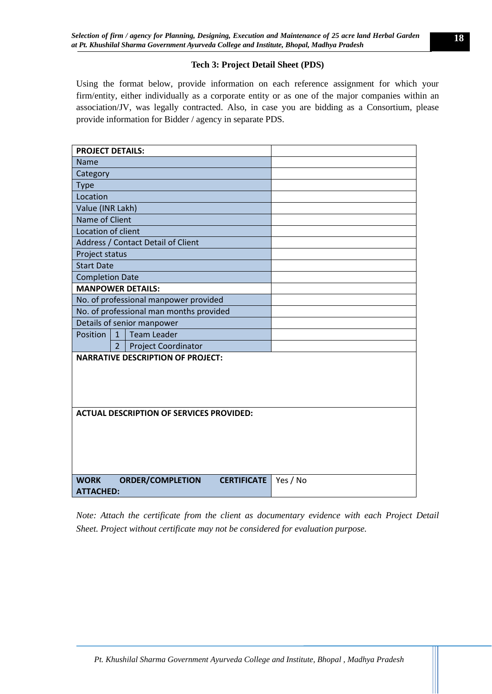# **Tech 3: Project Detail Sheet (PDS)**

Using the format below, provide information on each reference assignment for which your firm/entity, either individually as a corporate entity or as one of the major companies within an association/JV, was legally contracted. Also, in case you are bidding as a Consortium, please provide information for Bidder / agency in separate PDS.

| <b>PROJECT DETAILS:</b>                                                          |          |  |  |  |
|----------------------------------------------------------------------------------|----------|--|--|--|
| <b>Name</b>                                                                      |          |  |  |  |
| Category                                                                         |          |  |  |  |
| Type                                                                             |          |  |  |  |
| Location                                                                         |          |  |  |  |
| Value (INR Lakh)                                                                 |          |  |  |  |
| Name of Client                                                                   |          |  |  |  |
| Location of client                                                               |          |  |  |  |
| Address / Contact Detail of Client                                               |          |  |  |  |
| Project status                                                                   |          |  |  |  |
| <b>Start Date</b>                                                                |          |  |  |  |
| <b>Completion Date</b>                                                           |          |  |  |  |
| <b>MANPOWER DETAILS:</b>                                                         |          |  |  |  |
| No. of professional manpower provided                                            |          |  |  |  |
| No. of professional man months provided                                          |          |  |  |  |
| Details of senior manpower                                                       |          |  |  |  |
| <b>Team Leader</b><br>Position<br>$\mathbf{1}$                                   |          |  |  |  |
| 2 <sup>1</sup><br><b>Project Coordinator</b>                                     |          |  |  |  |
| <b>NARRATIVE DESCRIPTION OF PROJECT:</b>                                         |          |  |  |  |
| <b>ACTUAL DESCRIPTION OF SERVICES PROVIDED:</b>                                  |          |  |  |  |
| <b>WORK</b><br><b>ORDER/COMPLETION</b><br><b>CERTIFICATE</b><br><b>ATTACHED:</b> | Yes / No |  |  |  |

*Note: Attach the certificate from the client as documentary evidence with each Project Detail Sheet. Project without certificate may not be considered for evaluation purpose.*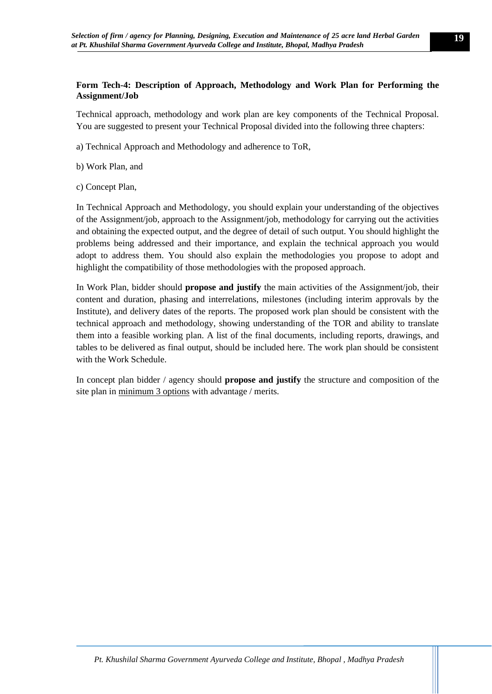# **Form Tech-4: Description of Approach, Methodology and Work Plan for Performing the Assignment/Job**

Technical approach, methodology and work plan are key components of the Technical Proposal. You are suggested to present your Technical Proposal divided into the following three chapters:

- a) Technical Approach and Methodology and adherence to ToR,
- b) Work Plan, and
- c) Concept Plan,

In Technical Approach and Methodology, you should explain your understanding of the objectives of the Assignment/job, approach to the Assignment/job, methodology for carrying out the activities and obtaining the expected output, and the degree of detail of such output. You should highlight the problems being addressed and their importance, and explain the technical approach you would adopt to address them. You should also explain the methodologies you propose to adopt and highlight the compatibility of those methodologies with the proposed approach.

In Work Plan, bidder should **propose and justify** the main activities of the Assignment/job, their content and duration, phasing and interrelations, milestones (including interim approvals by the Institute), and delivery dates of the reports. The proposed work plan should be consistent with the technical approach and methodology, showing understanding of the TOR and ability to translate them into a feasible working plan. A list of the final documents, including reports, drawings, and tables to be delivered as final output, should be included here. The work plan should be consistent with the Work Schedule.

In concept plan bidder / agency should **propose and justify** the structure and composition of the site plan in minimum 3 options with advantage / merits.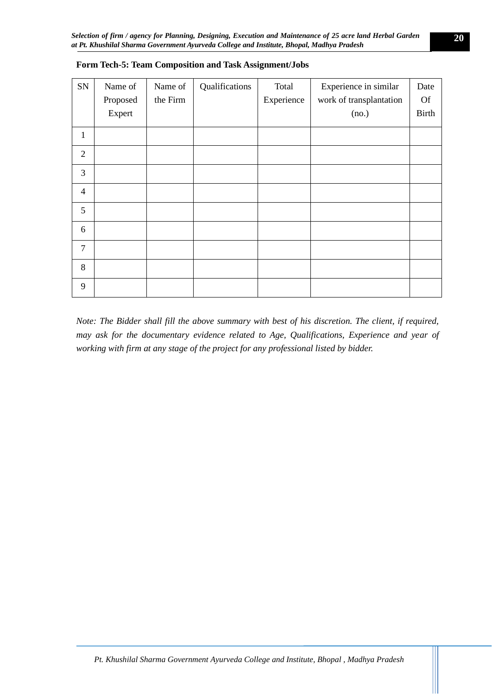| ${\rm SN}$     | Name of<br>Proposed<br>Expert | Name of<br>the Firm | Qualifications | Total<br>Experience | Experience in similar<br>work of transplantation<br>(no.) | Date<br><b>Of</b><br><b>Birth</b> |
|----------------|-------------------------------|---------------------|----------------|---------------------|-----------------------------------------------------------|-----------------------------------|
| $\mathbf{1}$   |                               |                     |                |                     |                                                           |                                   |
| $\overline{2}$ |                               |                     |                |                     |                                                           |                                   |
| 3              |                               |                     |                |                     |                                                           |                                   |
| $\overline{4}$ |                               |                     |                |                     |                                                           |                                   |
| 5              |                               |                     |                |                     |                                                           |                                   |
| 6              |                               |                     |                |                     |                                                           |                                   |
| $\overline{7}$ |                               |                     |                |                     |                                                           |                                   |
| 8              |                               |                     |                |                     |                                                           |                                   |
| 9              |                               |                     |                |                     |                                                           |                                   |

### **Form Tech-5: Team Composition and Task Assignment/Jobs**

*Note: The Bidder shall fill the above summary with best of his discretion. The client, if required, may ask for the documentary evidence related to Age, Qualifications, Experience and year of working with firm at any stage of the project for any professional listed by bidder.*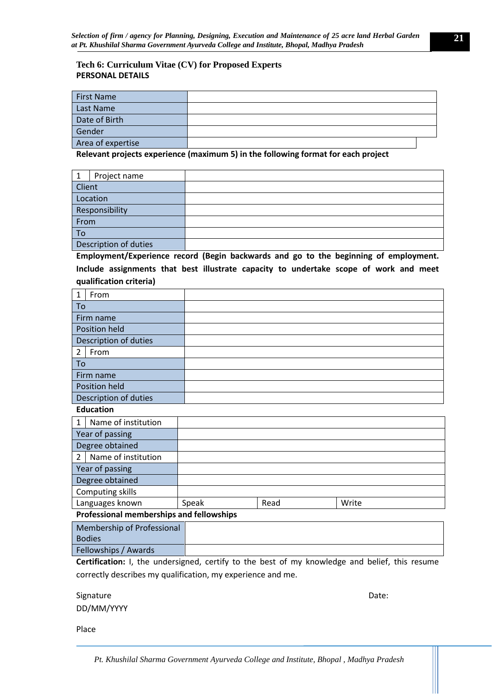# **Tech 6: Curriculum Vitae (CV) for Proposed Experts PERSONAL DETAILS**

| <b>First Name</b> |  |
|-------------------|--|
| Last Name         |  |
| Date of Birth     |  |
| Gender            |  |
| Area of expertise |  |

**Relevant projects experience (maximum 5) in the following format for each project** 

|                       | Project name |  |
|-----------------------|--------------|--|
| Client                |              |  |
| Location              |              |  |
| Responsibility        |              |  |
| From                  |              |  |
| To                    |              |  |
| Description of duties |              |  |

**Employment/Experience record (Begin backwards and go to the beginning of employment. Include assignments that best illustrate capacity to undertake scope of work and meet qualification criteria)** 

| 1                    | From                  |  |
|----------------------|-----------------------|--|
| To                   |                       |  |
| Firm name            |                       |  |
| <b>Position held</b> |                       |  |
|                      | Description of duties |  |
| $\overline{2}$       | From                  |  |
| To                   |                       |  |
| Firm name            |                       |  |
| Position held        |                       |  |
|                      | Description of duties |  |

#### **Education**

| $\mathbf{1}$            | Name of institution                      |       |      |       |  |
|-------------------------|------------------------------------------|-------|------|-------|--|
| Year of passing         |                                          |       |      |       |  |
| Degree obtained         |                                          |       |      |       |  |
| $\mathcal{P}$           | Name of institution                      |       |      |       |  |
| Year of passing         |                                          |       |      |       |  |
| Degree obtained         |                                          |       |      |       |  |
| <b>Computing skills</b> |                                          |       |      |       |  |
| Languages known         |                                          | Speak | Read | Write |  |
|                         | Professional memberships and fellowships |       |      |       |  |

| Membership of Professional |  |  |
|----------------------------|--|--|
| <b>Bodies</b>              |  |  |
| Fellowships / Awards       |  |  |

**Certification:** I, the undersigned, certify to the best of my knowledge and belief, this resume correctly describes my qualification, my experience and me.

Signature Date: DD/MM/YYYY

Place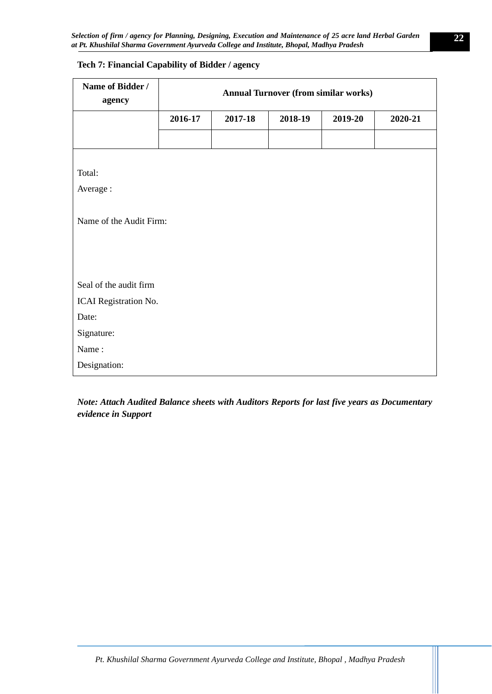| Name of Bidder /<br>agency | <b>Annual Turnover (from similar works)</b> |         |         |         |         |  |  |  |
|----------------------------|---------------------------------------------|---------|---------|---------|---------|--|--|--|
|                            | 2016-17                                     | 2017-18 | 2018-19 | 2019-20 | 2020-21 |  |  |  |
|                            |                                             |         |         |         |         |  |  |  |
|                            |                                             |         |         |         |         |  |  |  |
| Total:                     |                                             |         |         |         |         |  |  |  |
| Average:                   |                                             |         |         |         |         |  |  |  |
|                            |                                             |         |         |         |         |  |  |  |
| Name of the Audit Firm:    |                                             |         |         |         |         |  |  |  |
|                            |                                             |         |         |         |         |  |  |  |
|                            |                                             |         |         |         |         |  |  |  |
|                            |                                             |         |         |         |         |  |  |  |
| Seal of the audit firm     |                                             |         |         |         |         |  |  |  |
| ICAI Registration No.      |                                             |         |         |         |         |  |  |  |
| Date:                      |                                             |         |         |         |         |  |  |  |
| Signature:                 |                                             |         |         |         |         |  |  |  |
| Name:                      |                                             |         |         |         |         |  |  |  |
| Designation:               |                                             |         |         |         |         |  |  |  |

# **Tech 7: Financial Capability of Bidder / agency**

*Note: Attach Audited Balance sheets with Auditors Reports for last five years as Documentary evidence in Support*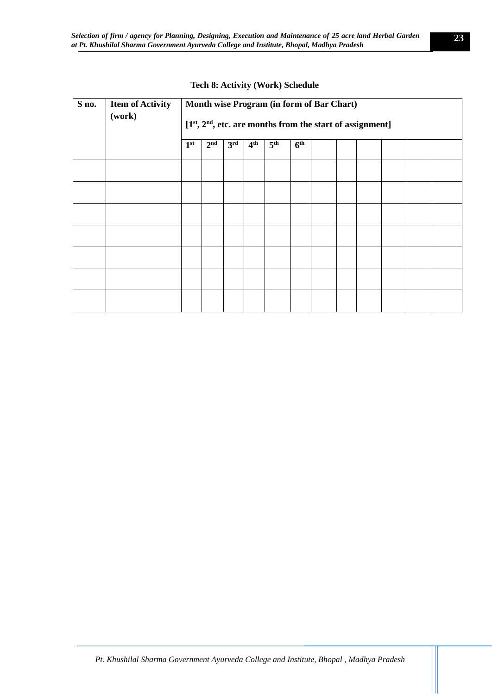| S no. | <b>Item of Activity</b><br>(work) | Month wise Program (in form of Bar Chart)<br>$[1st, 2nd, etc.$ are months from the start of assignment] |                 |                 |                 |                 |  |  |  |  |  |
|-------|-----------------------------------|---------------------------------------------------------------------------------------------------------|-----------------|-----------------|-----------------|-----------------|--|--|--|--|--|
|       | 1 <sup>st</sup>                   | 2 <sup>nd</sup>                                                                                         | 3 <sup>rd</sup> | 4 <sup>th</sup> | 5 <sup>th</sup> | 6 <sup>th</sup> |  |  |  |  |  |
|       |                                   |                                                                                                         |                 |                 |                 |                 |  |  |  |  |  |
|       |                                   |                                                                                                         |                 |                 |                 |                 |  |  |  |  |  |
|       |                                   |                                                                                                         |                 |                 |                 |                 |  |  |  |  |  |
|       |                                   |                                                                                                         |                 |                 |                 |                 |  |  |  |  |  |
|       |                                   |                                                                                                         |                 |                 |                 |                 |  |  |  |  |  |
|       |                                   |                                                                                                         |                 |                 |                 |                 |  |  |  |  |  |
|       |                                   |                                                                                                         |                 |                 |                 |                 |  |  |  |  |  |

#### **Tech 8: Activity (Work) Schedule**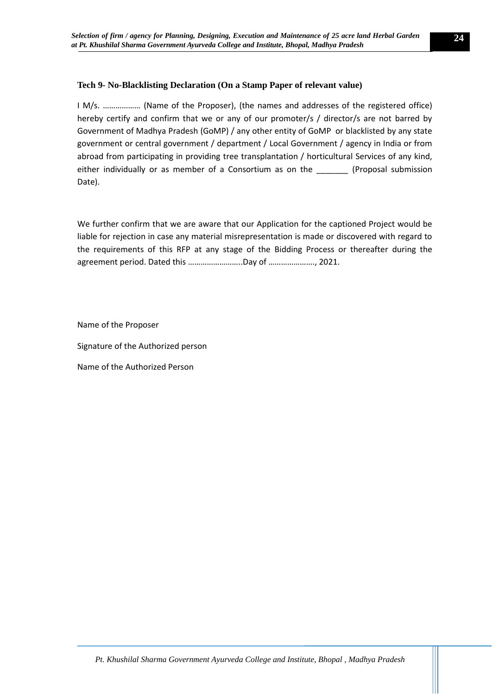### **Tech 9- No-Blacklisting Declaration (On a Stamp Paper of relevant value)**

I M/s. ……………… (Name of the Proposer), (the names and addresses of the registered office) hereby certify and confirm that we or any of our promoter/s / director/s are not barred by Government of Madhya Pradesh (GoMP) / any other entity of GoMP or blacklisted by any state government or central government / department / Local Government / agency in India or from abroad from participating in providing tree transplantation / horticultural Services of any kind, either individually or as member of a Consortium as on the \_\_\_\_\_\_\_\_ (Proposal submission Date).

We further confirm that we are aware that our Application for the captioned Project would be liable for rejection in case any material misrepresentation is made or discovered with regard to the requirements of this RFP at any stage of the Bidding Process or thereafter during the agreement period. Dated this ……………………..Day of …………………., 2021.

Name of the Proposer

Signature of the Authorized person

Name of the Authorized Person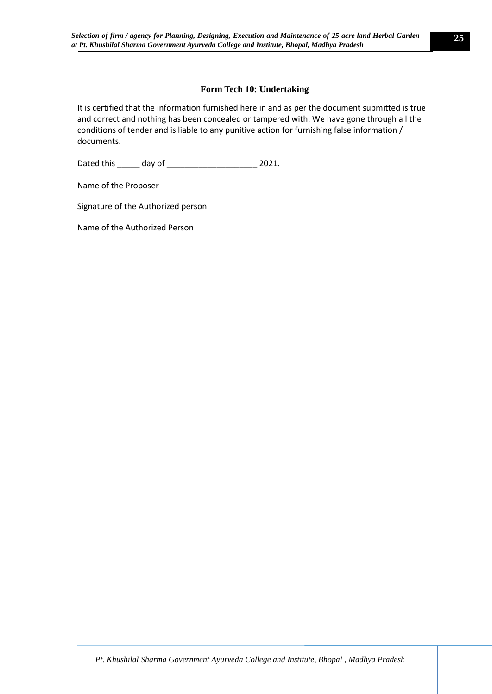# **Form Tech 10: Undertaking**

It is certified that the information furnished here in and as per the document submitted is true and correct and nothing has been concealed or tampered with. We have gone through all the conditions of tender and is liable to any punitive action for furnishing false information / documents.

Dated this \_\_\_\_\_ day of \_\_\_\_\_\_\_\_\_\_\_\_\_\_\_\_\_\_\_\_ 2021.

Name of the Proposer

Signature of the Authorized person

Name of the Authorized Person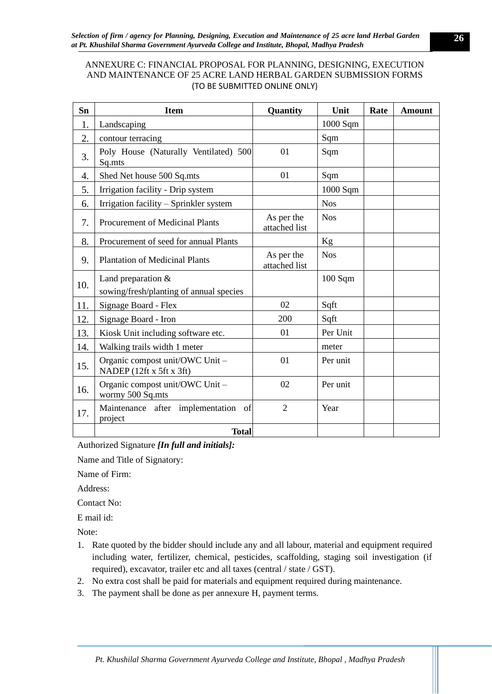# <span id="page-25-0"></span>ANNEXURE C: FINANCIAL PROPOSAL FOR PLANNING, DESIGNING, EXECUTION AND MAINTENANCE OF 25 ACRE LAND HERBAL GARDEN SUBMISSION FORMS (TO BE SUBMITTED ONLINE ONLY)

| Sn  | <b>Item</b>                                                     | <b>Quantity</b>             | Unit              | Rate | <b>Amount</b> |
|-----|-----------------------------------------------------------------|-----------------------------|-------------------|------|---------------|
| 1.  | Landscaping                                                     |                             | 1000 Sqm          |      |               |
| 2.  | contour terracing                                               |                             | Sqm               |      |               |
| 3.  | Poly House (Naturally Ventilated) 500<br>Sq.mts                 | 01                          | Sqm               |      |               |
| 4.  | Shed Net house 500 Sq.mts                                       | 01                          | Sqm               |      |               |
| 5.  | Irrigation facility - Drip system                               |                             | 1000 Sqm          |      |               |
| 6.  | Irrigation facility - Sprinkler system                          |                             | <b>Nos</b>        |      |               |
| 7.  | Procurement of Medicinal Plants                                 | As per the<br>attached list | <b>Nos</b>        |      |               |
| 8.  | Procurement of seed for annual Plants                           |                             | Kg                |      |               |
| 9.  | <b>Plantation of Medicinal Plants</b>                           | As per the<br>attached list | <b>Nos</b>        |      |               |
| 10. | Land preparation $&$<br>sowing/fresh/planting of annual species |                             | $100 \text{ Sgm}$ |      |               |
| 11. | Signage Board - Flex                                            | 02                          | Sqft              |      |               |
| 12. | Signage Board - Iron                                            | 200                         | Sqft              |      |               |
| 13. | Kiosk Unit including software etc.                              | 01                          | Per Unit          |      |               |
| 14. | Walking trails width 1 meter                                    |                             | meter             |      |               |
| 15. | Organic compost unit/OWC Unit -<br>NADEP (12ft x 5ft x 3ft)     | 01                          | Per unit          |      |               |
| 16. | Organic compost unit/OWC Unit -<br>wormy 500 Sq.mts             | 02                          | Per unit          |      |               |
| 17. | Maintenance after implementation<br>- of<br>project             | $\overline{2}$              | Year              |      |               |
|     | <b>Total</b>                                                    |                             |                   |      |               |

Authorized Signature *[In full and initials]:*

Name and Title of Signatory:

Name of Firm:

Address:

Contact No:

E mail id:

Note:

- 1. Rate quoted by the bidder should include any and all labour, material and equipment required including water, fertilizer, chemical, pesticides, scaffolding, staging soil investigation (if required), excavator, trailer etc and all taxes (central / state / GST).
- 2. No extra cost shall be paid for materials and equipment required during maintenance.
- 3. The payment shall be done as per annexure H, payment terms.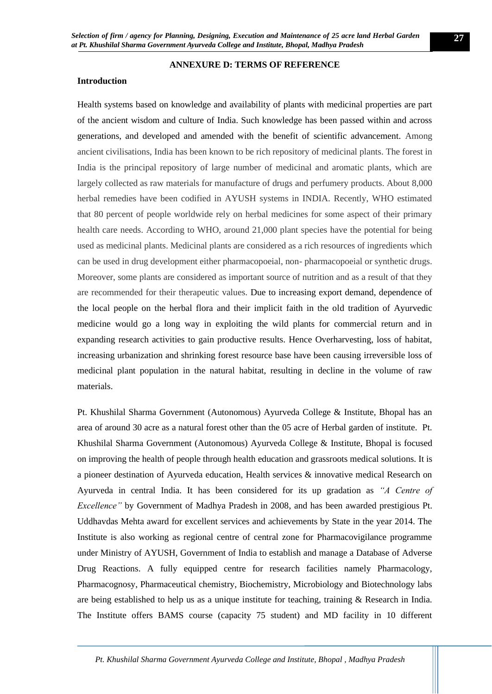### <span id="page-26-0"></span>**Introduction**

#### **ANNEXURE D: TERMS OF REFERENCE**

Health systems based on knowledge and availability of plants with medicinal properties are part of the ancient wisdom and culture of India. Such knowledge has been passed within and across generations, and developed and amended with the benefit of scientific advancement. Among ancient civilisations, India has been known to be rich repository of medicinal plants. The forest in India is the principal repository of large number of medicinal and aromatic plants, which are largely collected as raw materials for manufacture of drugs and perfumery products. About 8,000 herbal remedies have been codified in AYUSH systems in INDIA. Recently, WHO estimated that 80 percent of people worldwide rely on herbal medicines for some aspect of their primary health care needs. According to WHO, around 21,000 plant species have the potential for being used as medicinal plants. Medicinal plants are considered as a rich resources of ingredients which can be used in drug development either pharmacopoeial, non- pharmacopoeial or synthetic drugs. Moreover, some plants are considered as important source of nutrition and as a result of that they are recommended for their therapeutic values. Due to increasing export demand, dependence of the local people on the herbal flora and their implicit faith in the old tradition of Ayurvedic medicine would go a long way in exploiting the wild plants for commercial return and in expanding research activities to gain productive results. Hence Overharvesting, loss of habitat, increasing urbanization and shrinking forest resource base have been causing irreversible loss of medicinal plant population in the natural habitat, resulting in decline in the volume of raw materials.

Pt. Khushilal Sharma Government (Autonomous) Ayurveda College & Institute, Bhopal has an area of around 30 acre as a natural forest other than the 05 acre of Herbal garden of institute. Pt. Khushilal Sharma Government (Autonomous) Ayurveda College & Institute, Bhopal is focused on improving the health of people through health education and grassroots medical solutions. It is a pioneer destination of Ayurveda education, Health services & innovative medical Research on Ayurveda in central India. It has been considered for its up gradation as *"A Centre of Excellence"* by Government of Madhya Pradesh in 2008, and has been awarded prestigious Pt. Uddhavdas Mehta award for excellent services and achievements by State in the year 2014. The Institute is also working as regional centre of central zone for Pharmacovigilance programme under Ministry of AYUSH, Government of India to establish and manage a Database of Adverse Drug Reactions. A fully equipped centre for research facilities namely Pharmacology, Pharmacognosy, Pharmaceutical chemistry, Biochemistry, Microbiology and Biotechnology labs are being established to help us as a unique institute for teaching, training & Research in India. The Institute offers BAMS course (capacity 75 student) and MD facility in 10 different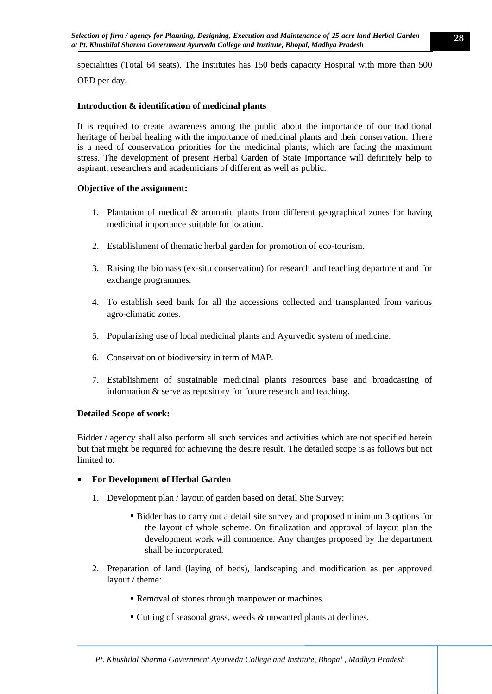specialities (Total 64 seats). The Institutes has 150 beds capacity Hospital with more than 500 OPD per day.

# **Introduction & identification of medicinal plants**

It is required to create awareness among the public about the importance of our traditional heritage of herbal healing with the importance of medicinal plants and their conservation. There is a need of conservation priorities for the medicinal plants, which are facing the maximum stress. The development of present Herbal Garden of State Importance will definitely help to aspirant, researchers and academicians of different as well as public.

### **Objective of the assignment:**

- 1. Plantation of medical & aromatic plants from different geographical zones for having medicinal importance suitable for location.
- 2. Establishment of thematic herbal garden for promotion of eco-tourism.
- 3. Raising the biomass (ex-situ conservation) for research and teaching department and for exchange programmes.
- 4. To establish seed bank for all the accessions collected and transplanted from various agro-climatic zones.
- 5. Popularizing use of local medicinal plants and Ayurvedic system of medicine.
- 6. Conservation of biodiversity in term of MAP.
- 7. Establishment of sustainable medicinal plants resources base and broadcasting of information & serve as repository for future research and teaching.

### **Detailed Scope of work:**

Bidder / agency shall also perform all such services and activities which are not specified herein but that might be required for achieving the desire result. The detailed scope is as follows but not limited to:

### • **For Development of Herbal Garden**

- 1. Development plan / layout of garden based on detail Site Survey:
	- Bidder has to carry out a detail site survey and proposed minimum 3 options for the layout of whole scheme. On finalization and approval of layout plan the development work will commence. Any changes proposed by the department shall be incorporated.
- 2. Preparation of land (laying of beds), landscaping and modification as per approved layout / theme:
	- Removal of stones through manpower or machines.
	- $\blacksquare$  Cutting of seasonal grass, weeds & unwanted plants at declines.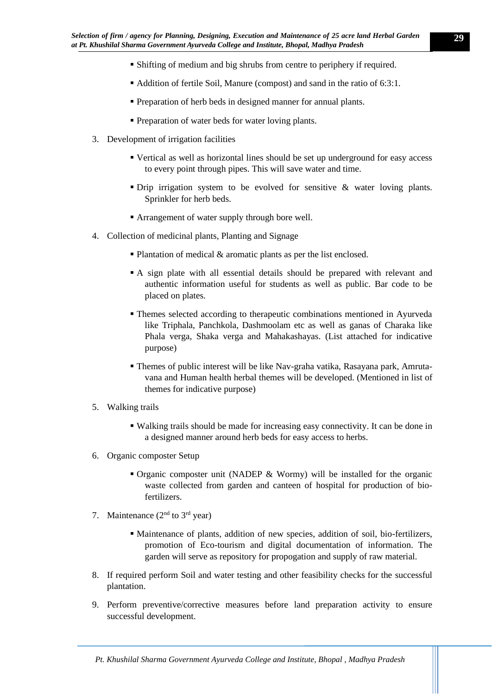- Shifting of medium and big shrubs from centre to periphery if required.
- Addition of fertile Soil, Manure (compost) and sand in the ratio of 6:3:1.
- **Preparation of herb beds in designed manner for annual plants.**
- **Preparation of water beds for water loving plants.**
- 3. Development of irrigation facilities
	- Vertical as well as horizontal lines should be set up underground for easy access to every point through pipes. This will save water and time.
	- Drip irrigation system to be evolved for sensitive & water loving plants. Sprinkler for herb beds.
	- Arrangement of water supply through bore well.
- 4. Collection of medicinal plants, Planting and Signage
	- $\blacksquare$  Plantation of medical & aromatic plants as per the list enclosed.
	- A sign plate with all essential details should be prepared with relevant and authentic information useful for students as well as public. Bar code to be placed on plates.
	- Themes selected according to therapeutic combinations mentioned in Ayurveda like Triphala, Panchkola, Dashmoolam etc as well as ganas of Charaka like Phala verga, Shaka verga and Mahakashayas. (List attached for indicative purpose)
	- Themes of public interest will be like Nav-graha vatika, Rasayana park, Amrutavana and Human health herbal themes will be developed. (Mentioned in list of themes for indicative purpose)
- 5. Walking trails
	- Walking trails should be made for increasing easy connectivity. It can be done in a designed manner around herb beds for easy access to herbs.
- 6. Organic composter Setup
	- **Organic composter unit (NADEP & Wormy) will be installed for the organic** waste collected from garden and canteen of hospital for production of biofertilizers.
- 7. Maintenance  $(2<sup>nd</sup>$  to  $3<sup>rd</sup>$  year)
	- Maintenance of plants, addition of new species, addition of soil, bio-fertilizers, promotion of Eco-tourism and digital documentation of information. The garden will serve as repository for propogation and supply of raw material.
- 8. If required perform Soil and water testing and other feasibility checks for the successful plantation.
- 9. Perform preventive/corrective measures before land preparation activity to ensure successful development.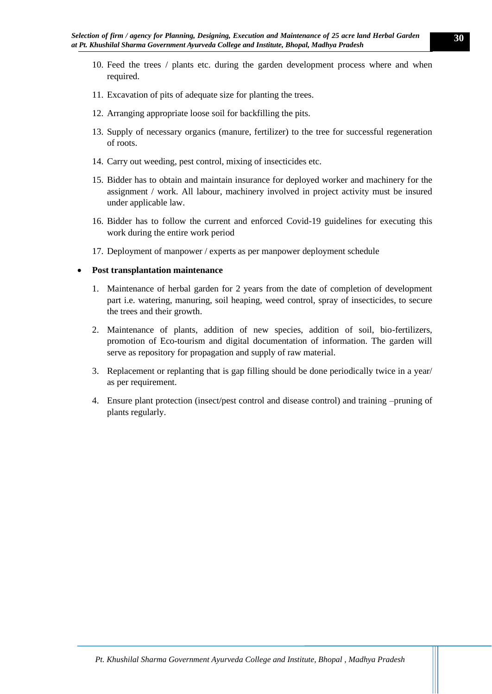- 10. Feed the trees / plants etc. during the garden development process where and when required.
- 11. Excavation of pits of adequate size for planting the trees.
- 12. Arranging appropriate loose soil for backfilling the pits.
- 13. Supply of necessary organics (manure, fertilizer) to the tree for successful regeneration of roots.
- 14. Carry out weeding, pest control, mixing of insecticides etc.
- 15. Bidder has to obtain and maintain insurance for deployed worker and machinery for the assignment / work. All labour, machinery involved in project activity must be insured under applicable law.
- 16. Bidder has to follow the current and enforced Covid-19 guidelines for executing this work during the entire work period
- 17. Deployment of manpower / experts as per manpower deployment schedule

#### • **Post transplantation maintenance**

- 1. Maintenance of herbal garden for 2 years from the date of completion of development part i.e. watering, manuring, soil heaping, weed control, spray of insecticides, to secure the trees and their growth.
- 2. Maintenance of plants, addition of new species, addition of soil, bio-fertilizers, promotion of Eco-tourism and digital documentation of information. The garden will serve as repository for propagation and supply of raw material.
- 3. Replacement or replanting that is gap filling should be done periodically twice in a year/ as per requirement.
- 4. Ensure plant protection (insect/pest control and disease control) and training –pruning of plants regularly.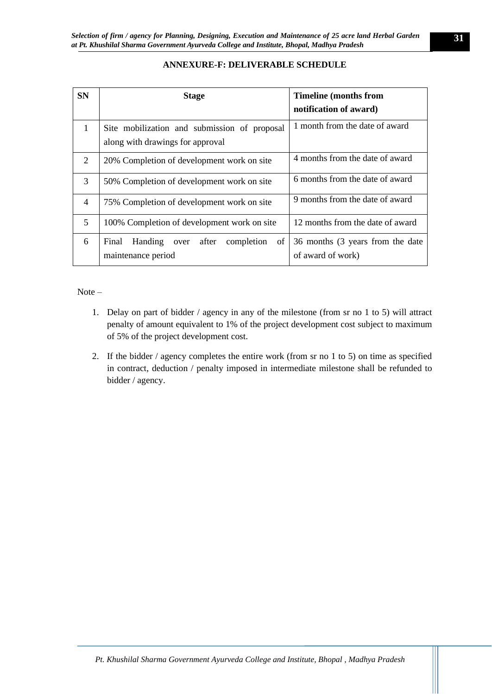# **ANNEXURE-F: DELIVERABLE SCHEDULE**

<span id="page-30-0"></span>

| <b>SN</b>      | <b>Stage</b>                                                                     | <b>Timeline (months from</b><br>notification of award) |
|----------------|----------------------------------------------------------------------------------|--------------------------------------------------------|
| 1              | Site mobilization and submission of proposal<br>along with drawings for approval | 1 month from the date of award                         |
| 2              | 20% Completion of development work on site                                       | 4 months from the date of award                        |
| 3              | 50% Completion of development work on site                                       | 6 months from the date of award                        |
| $\overline{4}$ | 75% Completion of development work on site                                       | 9 months from the date of award                        |
| 5              | 100% Completion of development work on site                                      | 12 months from the date of award                       |
| 6              | of<br>Handing<br>completion<br>Final<br>after<br>over<br>maintenance period      | 36 months (3 years from the date<br>of award of work)  |

### $Note –$

- 1. Delay on part of bidder / agency in any of the milestone (from sr no 1 to 5) will attract penalty of amount equivalent to 1% of the project development cost subject to maximum of 5% of the project development cost.
- 2. If the bidder / agency completes the entire work (from sr no 1 to 5) on time as specified in contract, deduction / penalty imposed in intermediate milestone shall be refunded to bidder / agency.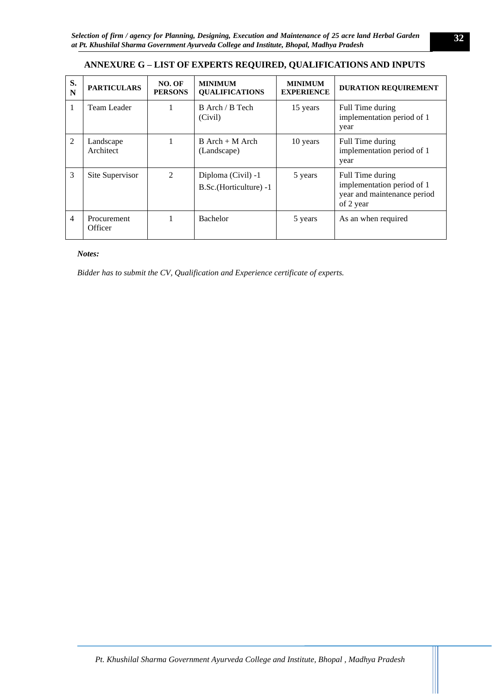# <span id="page-31-0"></span>**ANNEXURE G – LIST OF EXPERTS REQUIRED, QUALIFICATIONS AND INPUTS**

| S.<br>N | <b>PARTICULARS</b>     | NO. OF<br><b>PERSONS</b> | <b>MINIMUM</b><br><b>OUALIFICATIONS</b>      | <b>MINIMUM</b><br><b>EXPERIENCE</b> | <b>DURATION REQUIREMENT</b>                                                                |
|---------|------------------------|--------------------------|----------------------------------------------|-------------------------------------|--------------------------------------------------------------------------------------------|
|         | Team Leader            |                          | B Arch / B Tech<br>(Civil)                   | 15 years                            | Full Time during<br>implementation period of 1<br>year                                     |
| 2       | Landscape<br>Architect | 1                        | $B$ Arch + M Arch<br>(Landscape)             | 10 years                            | Full Time during<br>implementation period of 1<br>year                                     |
| 3       | Site Supervisor        | $\mathfrak{D}$           | Diploma (Civil) -1<br>B.Sc.(Horticulture) -1 | 5 years                             | Full Time during<br>implementation period of 1<br>year and maintenance period<br>of 2 year |
| 4       | Procurement<br>Officer |                          | <b>Bachelor</b>                              | 5 years                             | As an when required                                                                        |

#### *Notes:*

*Bidder has to submit the CV, Qualification and Experience certificate of experts.*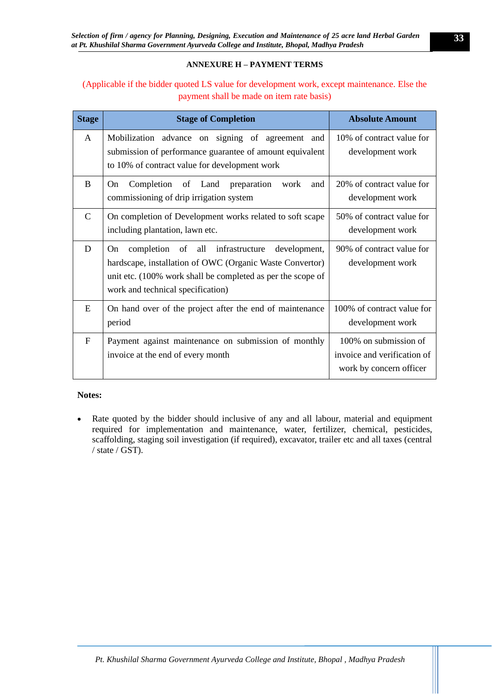# **ANNEXURE H – PAYMENT TERMS**

# <span id="page-32-0"></span>(Applicable if the bidder quoted LS value for development work, except maintenance. Else the payment shall be made on item rate basis)

| <b>Stage</b>  | <b>Stage of Completion</b>                                                                                                                                                                                             | <b>Absolute Amount</b>                                                          |
|---------------|------------------------------------------------------------------------------------------------------------------------------------------------------------------------------------------------------------------------|---------------------------------------------------------------------------------|
| $\mathsf{A}$  | Mobilization advance on signing of agreement and<br>submission of performance guarantee of amount equivalent<br>to 10% of contract value for development work                                                          | 10% of contract value for<br>development work                                   |
| B             | Completion of Land preparation<br>On.<br>work<br>and<br>commissioning of drip irrigation system                                                                                                                        | 20% of contract value for<br>development work                                   |
| $\mathcal{C}$ | On completion of Development works related to soft scape<br>including plantation, lawn etc.                                                                                                                            | 50% of contract value for<br>development work                                   |
| D             | completion of all infrastructure<br>development,<br>On<br>hardscape, installation of OWC (Organic Waste Convertor)<br>unit etc. (100% work shall be completed as per the scope of<br>work and technical specification) | 90% of contract value for<br>development work                                   |
| E             | On hand over of the project after the end of maintenance<br>period                                                                                                                                                     | 100% of contract value for<br>development work                                  |
| $\mathbf{F}$  | Payment against maintenance on submission of monthly<br>invoice at the end of every month                                                                                                                              | 100% on submission of<br>invoice and verification of<br>work by concern officer |

### **Notes:**

• Rate quoted by the bidder should inclusive of any and all labour, material and equipment required for implementation and maintenance, water, fertilizer, chemical, pesticides, scaffolding, staging soil investigation (if required), excavator, trailer etc and all taxes (central / state / GST).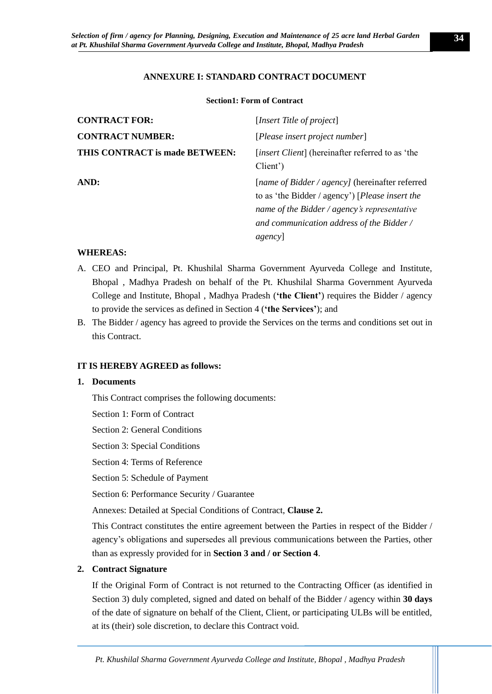### **ANNEXURE I: STANDARD CONTRACT DOCUMENT**

#### **Section1: Form of Contract**

<span id="page-33-1"></span><span id="page-33-0"></span>

| <b>CONTRACT FOR:</b>           | [Insert Title of project]                                                                                                                                                                                 |
|--------------------------------|-----------------------------------------------------------------------------------------------------------------------------------------------------------------------------------------------------------|
| <b>CONTRACT NUMBER:</b>        | [Please insert project number]                                                                                                                                                                            |
| THIS CONTRACT is made BETWEEN: | [insert Client] (hereinafter referred to as 'the<br>Client')                                                                                                                                              |
| AND:                           | [name of Bidder / agency] (hereinafter referred<br>to as 'the Bidder / agency') [Please insert the<br>name of the Bidder / agency's representative<br>and communication address of the Bidder /<br>agency |

#### **WHEREAS:**

- A. CEO and Principal, Pt. Khushilal Sharma Government Ayurveda College and Institute, Bhopal , Madhya Pradesh on behalf of the Pt. Khushilal Sharma Government Ayurveda College and Institute, Bhopal , Madhya Pradesh (**'the Client'**) requires the Bidder / agency to provide the services as defined in Section 4 (**'the Services'**); and
- B. The Bidder / agency has agreed to provide the Services on the terms and conditions set out in this Contract.

#### **IT IS HEREBY AGREED as follows:**

#### **1. Documents**

This Contract comprises the following documents:

Section 1: Form of Contract

Section 2: General Conditions

Section 3: Special Conditions

Section 4: Terms of Reference

Section 5: Schedule of Payment

Section 6: Performance Security / Guarantee

Annexes: Detailed at Special Conditions of Contract, **Clause 2.**

This Contract constitutes the entire agreement between the Parties in respect of the Bidder / agency's obligations and supersedes all previous communications between the Parties, other than as expressly provided for in **Section 3 and / or Section 4**.

#### **2. Contract Signature**

If the Original Form of Contract is not returned to the Contracting Officer (as identified in Section 3) duly completed, signed and dated on behalf of the Bidder / agency within **30 days** of the date of signature on behalf of the Client, Client, or participating ULBs will be entitled, at its (their) sole discretion, to declare this Contract void.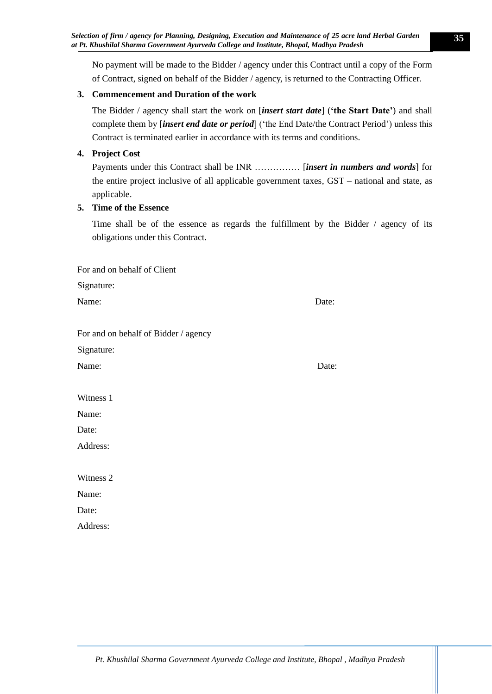No payment will be made to the Bidder / agency under this Contract until a copy of the Form of Contract, signed on behalf of the Bidder / agency, is returned to the Contracting Officer.

# **3. Commencement and Duration of the work**

The Bidder / agency shall start the work on [*insert start date*] (**'the Start Date'**) and shall complete them by [*insert end date or period*] ('the End Date/the Contract Period') unless this Contract is terminated earlier in accordance with its terms and conditions.

# **4. Project Cost**

Payments under this Contract shall be INR …………… [*insert in numbers and words*] for the entire project inclusive of all applicable government taxes, GST – national and state, as applicable.

# **5. Time of the Essence**

For and on behalf of Client

Time shall be of the essence as regards the fulfillment by the Bidder / agency of its obligations under this Contract.

| and on behan of enemy                |       |
|--------------------------------------|-------|
| Signature:                           |       |
| Name:                                | Date: |
|                                      |       |
| For and on behalf of Bidder / agency |       |
| Signature:                           |       |
| Name:                                | Date: |
|                                      |       |
| Witness 1                            |       |
| Name:                                |       |
| Date:                                |       |
| Address:                             |       |
|                                      |       |
| Witness 2                            |       |
| Name:                                |       |
| Date:                                |       |
| Address:                             |       |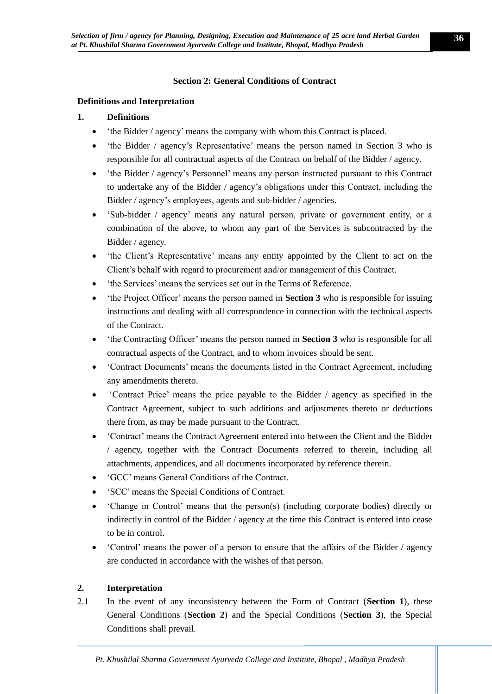# **Section 2: General Conditions of Contract**

### <span id="page-35-0"></span>**Definitions and Interpretation**

# **1. Definitions**

- the Bidder / agency' means the company with whom this Contract is placed.
- the Bidder / agency's Representative' means the person named in Section 3 who is responsible for all contractual aspects of the Contract on behalf of the Bidder / agency.
- 'the Bidder / agency's Personnel' means any person instructed pursuant to this Contract to undertake any of the Bidder / agency's obligations under this Contract, including the Bidder / agency's employees, agents and sub-bidder / agencies.
- 'Sub-bidder / agency' means any natural person, private or government entity, or a combination of the above, to whom any part of the Services is subcontracted by the Bidder / agency.
- the Client's Representative' means any entity appointed by the Client to act on the Client's behalf with regard to procurement and/or management of this Contract.
- 'the Services' means the services set out in the Terms of Reference.
- 'the Project Officer' means the person named in **Section 3** who is responsible for issuing instructions and dealing with all correspondence in connection with the technical aspects of the Contract.
- 'the Contracting Officer' means the person named in **Section 3** who is responsible for all contractual aspects of the Contract, and to whom invoices should be sent.
- Contract Documents' means the documents listed in the Contract Agreement, including any amendments thereto.
- 'Contract Price' means the price payable to the Bidder / agency as specified in the Contract Agreement, subject to such additions and adjustments thereto or deductions there from, as may be made pursuant to the Contract.
- 'Contract' means the Contract Agreement entered into between the Client and the Bidder / agency, together with the Contract Documents referred to therein, including all attachments, appendices, and all documents incorporated by reference therein.
- 'GCC' means General Conditions of the Contract.
- 'SCC' means the Special Conditions of Contract.
- 'Change in Control' means that the person(s) (including corporate bodies) directly or indirectly in control of the Bidder / agency at the time this Contract is entered into cease to be in control.
- 'Control' means the power of a person to ensure that the affairs of the Bidder / agency are conducted in accordance with the wishes of that person.

# **2. Interpretation**

2.1 In the event of any inconsistency between the Form of Contract (**Section 1**), these General Conditions (**Section 2**) and the Special Conditions (**Section 3**), the Special Conditions shall prevail.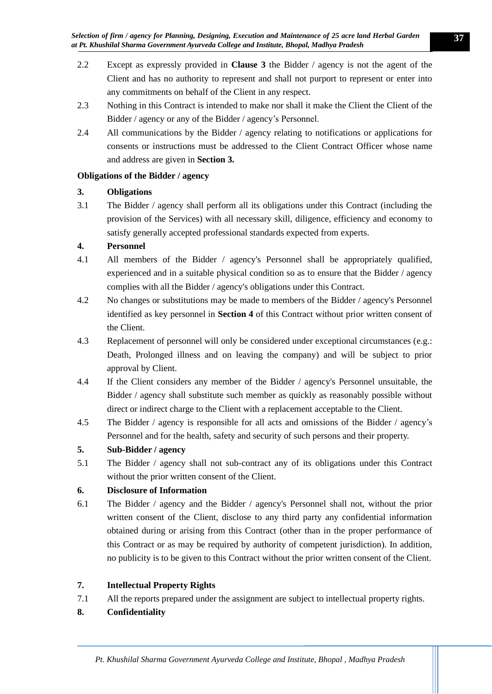- 2.2 Except as expressly provided in **Clause 3** the Bidder / agency is not the agent of the Client and has no authority to represent and shall not purport to represent or enter into any commitments on behalf of the Client in any respect.
- 2.3 Nothing in this Contract is intended to make nor shall it make the Client the Client of the Bidder / agency or any of the Bidder / agency's Personnel.
- 2.4 All communications by the Bidder / agency relating to notifications or applications for consents or instructions must be addressed to the Client Contract Officer whose name and address are given in **Section 3.**

# **Obligations of the Bidder / agency**

# **3. Obligations**

3.1 The Bidder / agency shall perform all its obligations under this Contract (including the provision of the Services) with all necessary skill, diligence, efficiency and economy to satisfy generally accepted professional standards expected from experts.

# **4. Personnel**

- 4.1 All members of the Bidder / agency's Personnel shall be appropriately qualified, experienced and in a suitable physical condition so as to ensure that the Bidder / agency complies with all the Bidder / agency's obligations under this Contract.
- 4.2 No changes or substitutions may be made to members of the Bidder / agency's Personnel identified as key personnel in **Section 4** of this Contract without prior written consent of the Client.
- 4.3 Replacement of personnel will only be considered under exceptional circumstances (e.g.: Death, Prolonged illness and on leaving the company) and will be subject to prior approval by Client.
- 4.4 If the Client considers any member of the Bidder / agency's Personnel unsuitable, the Bidder / agency shall substitute such member as quickly as reasonably possible without direct or indirect charge to the Client with a replacement acceptable to the Client.
- 4.5 The Bidder / agency is responsible for all acts and omissions of the Bidder / agency's Personnel and for the health, safety and security of such persons and their property.

# **5. Sub-Bidder / agency**

5.1 The Bidder / agency shall not sub-contract any of its obligations under this Contract without the prior written consent of the Client.

# **6. Disclosure of Information**

6.1 The Bidder / agency and the Bidder / agency's Personnel shall not, without the prior written consent of the Client, disclose to any third party any confidential information obtained during or arising from this Contract (other than in the proper performance of this Contract or as may be required by authority of competent jurisdiction). In addition, no publicity is to be given to this Contract without the prior written consent of the Client.

# **7. Intellectual Property Rights**

- 7.1 All the reports prepared under the assignment are subject to intellectual property rights.
- **8. Confidentiality**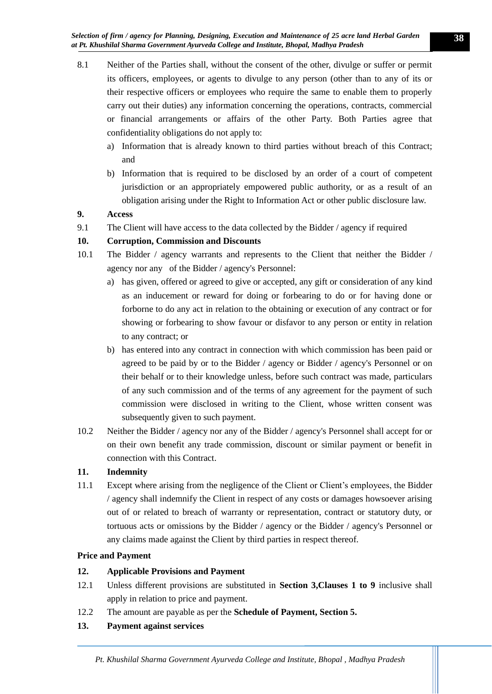- 8.1 Neither of the Parties shall, without the consent of the other, divulge or suffer or permit its officers, employees, or agents to divulge to any person (other than to any of its or their respective officers or employees who require the same to enable them to properly carry out their duties) any information concerning the operations, contracts, commercial or financial arrangements or affairs of the other Party. Both Parties agree that confidentiality obligations do not apply to:
	- a) Information that is already known to third parties without breach of this Contract; and
	- b) Information that is required to be disclosed by an order of a court of competent jurisdiction or an appropriately empowered public authority, or as a result of an obligation arising under the Right to Information Act or other public disclosure law.

# **9. Access**

9.1 The Client will have access to the data collected by the Bidder / agency if required

# **10. Corruption, Commission and Discounts**

- 10.1 The Bidder / agency warrants and represents to the Client that neither the Bidder / agency nor any of the Bidder / agency's Personnel:
	- a) has given, offered or agreed to give or accepted, any gift or consideration of any kind as an inducement or reward for doing or forbearing to do or for having done or forborne to do any act in relation to the obtaining or execution of any contract or for showing or forbearing to show favour or disfavor to any person or entity in relation to any contract; or
	- b) has entered into any contract in connection with which commission has been paid or agreed to be paid by or to the Bidder / agency or Bidder / agency's Personnel or on their behalf or to their knowledge unless, before such contract was made, particulars of any such commission and of the terms of any agreement for the payment of such commission were disclosed in writing to the Client, whose written consent was subsequently given to such payment.
- 10.2 Neither the Bidder / agency nor any of the Bidder / agency's Personnel shall accept for or on their own benefit any trade commission, discount or similar payment or benefit in connection with this Contract.

# **11. Indemnity**

11.1 Except where arising from the negligence of the Client or Client's employees, the Bidder / agency shall indemnify the Client in respect of any costs or damages howsoever arising out of or related to breach of warranty or representation, contract or statutory duty, or tortuous acts or omissions by the Bidder / agency or the Bidder / agency's Personnel or any claims made against the Client by third parties in respect thereof.

# **Price and Payment**

# **12. Applicable Provisions and Payment**

- 12.1 Unless different provisions are substituted in **Section 3,Clauses 1 to 9** inclusive shall apply in relation to price and payment.
- 12.2 The amount are payable as per the **Schedule of Payment, Section 5.**

# **13. Payment against services**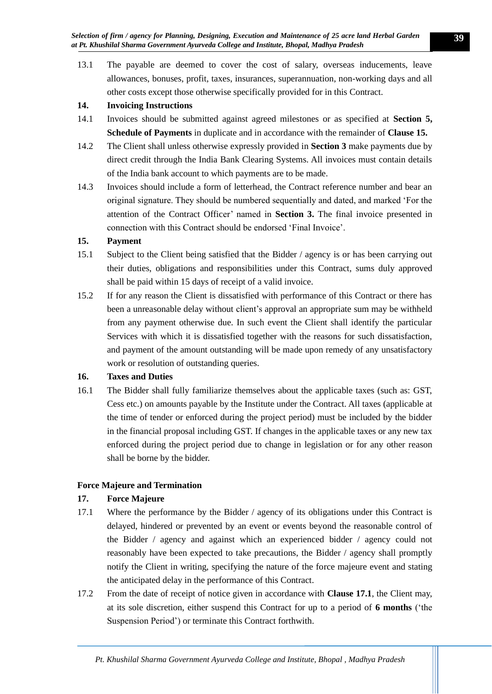13.1 The payable are deemed to cover the cost of salary, overseas inducements, leave allowances, bonuses, profit, taxes, insurances, superannuation, non-working days and all other costs except those otherwise specifically provided for in this Contract.

# **14. Invoicing Instructions**

- 14.1 Invoices should be submitted against agreed milestones or as specified at **Section 5, Schedule of Payments** in duplicate and in accordance with the remainder of **Clause 15.**
- 14.2 The Client shall unless otherwise expressly provided in **Section 3** make payments due by direct credit through the India Bank Clearing Systems. All invoices must contain details of the India bank account to which payments are to be made.
- 14.3 Invoices should include a form of letterhead, the Contract reference number and bear an original signature. They should be numbered sequentially and dated, and marked 'For the attention of the Contract Officer' named in **Section 3.** The final invoice presented in connection with this Contract should be endorsed 'Final Invoice'.

# **15. Payment**

- 15.1 Subject to the Client being satisfied that the Bidder / agency is or has been carrying out their duties, obligations and responsibilities under this Contract, sums duly approved shall be paid within 15 days of receipt of a valid invoice.
- 15.2 If for any reason the Client is dissatisfied with performance of this Contract or there has been a unreasonable delay without client's approval an appropriate sum may be withheld from any payment otherwise due. In such event the Client shall identify the particular Services with which it is dissatisfied together with the reasons for such dissatisfaction, and payment of the amount outstanding will be made upon remedy of any unsatisfactory work or resolution of outstanding queries.

# **16. Taxes and Duties**

16.1 The Bidder shall fully familiarize themselves about the applicable taxes (such as: GST, Cess etc.) on amounts payable by the Institute under the Contract. All taxes (applicable at the time of tender or enforced during the project period) must be included by the bidder in the financial proposal including GST. If changes in the applicable taxes or any new tax enforced during the project period due to change in legislation or for any other reason shall be borne by the bidder.

# **Force Majeure and Termination**

# **17. Force Majeure**

- 17.1 Where the performance by the Bidder / agency of its obligations under this Contract is delayed, hindered or prevented by an event or events beyond the reasonable control of the Bidder / agency and against which an experienced bidder / agency could not reasonably have been expected to take precautions, the Bidder / agency shall promptly notify the Client in writing, specifying the nature of the force majeure event and stating the anticipated delay in the performance of this Contract.
- 17.2 From the date of receipt of notice given in accordance with **Clause 17.1**, the Client may, at its sole discretion, either suspend this Contract for up to a period of **6 months** ('the Suspension Period') or terminate this Contract forthwith.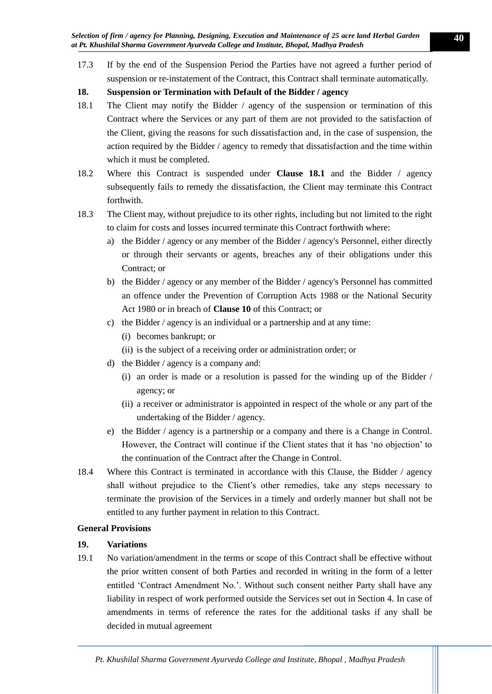17.3 If by the end of the Suspension Period the Parties have not agreed a further period of suspension or re-instatement of the Contract, this Contract shall terminate automatically.

# **18. Suspension or Termination with Default of the Bidder / agency**

- 18.1 The Client may notify the Bidder / agency of the suspension or termination of this Contract where the Services or any part of them are not provided to the satisfaction of the Client, giving the reasons for such dissatisfaction and, in the case of suspension, the action required by the Bidder / agency to remedy that dissatisfaction and the time within which it must be completed.
- 18.2 Where this Contract is suspended under **Clause 18.1** and the Bidder / agency subsequently fails to remedy the dissatisfaction, the Client may terminate this Contract forthwith.
- 18.3 The Client may, without prejudice to its other rights, including but not limited to the right to claim for costs and losses incurred terminate this Contract forthwith where:
	- a) the Bidder / agency or any member of the Bidder / agency's Personnel, either directly or through their servants or agents, breaches any of their obligations under this Contract; or
	- b) the Bidder / agency or any member of the Bidder / agency's Personnel has committed an offence under the Prevention of Corruption Acts 1988 or the National Security Act 1980 or in breach of **Clause 10** of this Contract; or
	- c) the Bidder / agency is an individual or a partnership and at any time:
		- (i) becomes bankrupt; or
		- (ii) is the subject of a receiving order or administration order; or
	- d) the Bidder / agency is a company and:
		- (i) an order is made or a resolution is passed for the winding up of the Bidder / agency; or
		- (ii) a receiver or administrator is appointed in respect of the whole or any part of the undertaking of the Bidder / agency.
	- e) the Bidder / agency is a partnership or a company and there is a Change in Control. However, the Contract will continue if the Client states that it has 'no objection' to the continuation of the Contract after the Change in Control.
- 18.4 Where this Contract is terminated in accordance with this Clause, the Bidder / agency shall without prejudice to the Client's other remedies, take any steps necessary to terminate the provision of the Services in a timely and orderly manner but shall not be entitled to any further payment in relation to this Contract.

# **General Provisions**

# **19. Variations**

19.1 No variation/amendment in the terms or scope of this Contract shall be effective without the prior written consent of both Parties and recorded in writing in the form of a letter entitled 'Contract Amendment No.'. Without such consent neither Party shall have any liability in respect of work performed outside the Services set out in Section 4. In case of amendments in terms of reference the rates for the additional tasks if any shall be decided in mutual agreement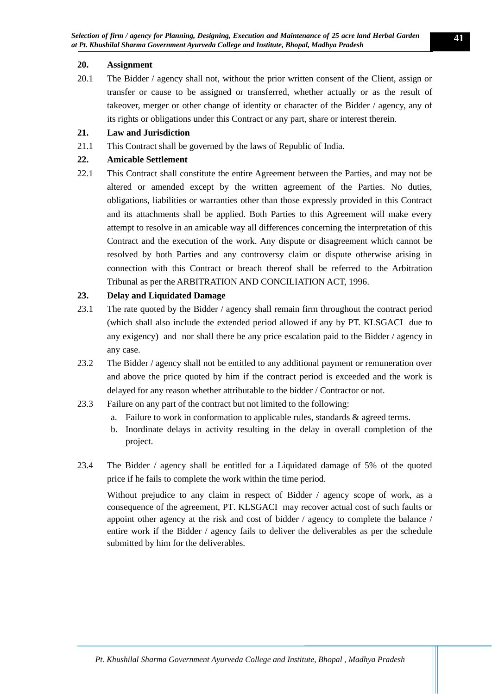# **20. Assignment**

20.1 The Bidder / agency shall not, without the prior written consent of the Client, assign or transfer or cause to be assigned or transferred, whether actually or as the result of takeover, merger or other change of identity or character of the Bidder / agency, any of its rights or obligations under this Contract or any part, share or interest therein.

# **21. Law and Jurisdiction**

21.1 This Contract shall be governed by the laws of Republic of India.

# **22. Amicable Settlement**

22.1 This Contract shall constitute the entire Agreement between the Parties, and may not be altered or amended except by the written agreement of the Parties. No duties, obligations, liabilities or warranties other than those expressly provided in this Contract and its attachments shall be applied. Both Parties to this Agreement will make every attempt to resolve in an amicable way all differences concerning the interpretation of this Contract and the execution of the work. Any dispute or disagreement which cannot be resolved by both Parties and any controversy claim or dispute otherwise arising in connection with this Contract or breach thereof shall be referred to the Arbitration Tribunal as per the ARBITRATION AND CONCILIATION ACT, 1996.

# **23. Delay and Liquidated Damage**

- 23.1 The rate quoted by the Bidder / agency shall remain firm throughout the contract period (which shall also include the extended period allowed if any by PT. KLSGACI due to any exigency) and nor shall there be any price escalation paid to the Bidder / agency in any case.
- 23.2 The Bidder / agency shall not be entitled to any additional payment or remuneration over and above the price quoted by him if the contract period is exceeded and the work is delayed for any reason whether attributable to the bidder / Contractor or not.
- 23.3 Failure on any part of the contract but not limited to the following:
	- a. Failure to work in conformation to applicable rules, standards & agreed terms.
	- b. Inordinate delays in activity resulting in the delay in overall completion of the project.
- 23.4 The Bidder / agency shall be entitled for a Liquidated damage of 5% of the quoted price if he fails to complete the work within the time period.

<span id="page-40-0"></span>Without prejudice to any claim in respect of Bidder / agency scope of work, as a consequence of the agreement, PT. KLSGACI may recover actual cost of such faults or appoint other agency at the risk and cost of bidder / agency to complete the balance / entire work if the Bidder / agency fails to deliver the deliverables as per the schedule submitted by him for the deliverables.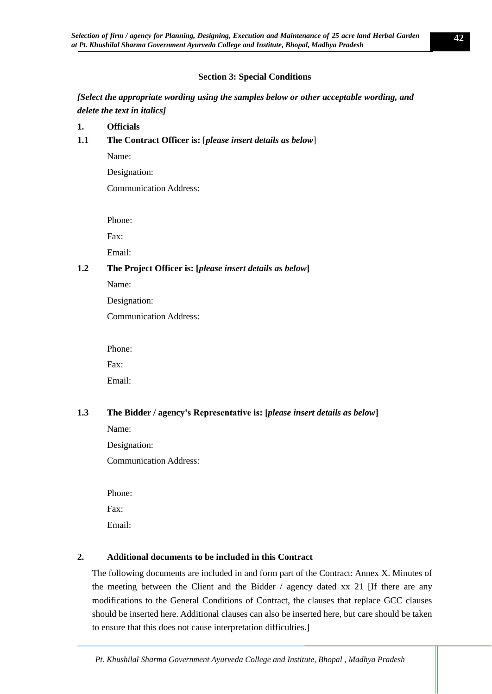# **Section 3: Special Conditions**

*[Select the appropriate wording using the samples below or other acceptable wording, and delete the text in italics]*

- **1. Officials**
- **1.1 The Contract Officer is:** [*please insert details as below*]

Name:

Designation:

Communication Address:

Phone:

Fax:

Email:

# **1.2 The Project Officer is: [***please insert details as below***]**

Name:

Designation:

Communication Address:

Phone:

Fax:

Email:

# **1.3 The Bidder / agency's Representative is: [***please insert details as below***]**

Name:

Designation:

Communication Address:

Phone: Fax: Email:

# **2. Additional documents to be included in this Contract**

The following documents are included in and form part of the Contract: Annex X. Minutes of the meeting between the Client and the Bidder  $\ell$  agency dated xx 21 [If there are any modifications to the General Conditions of Contract, the clauses that replace GCC clauses should be inserted here. Additional clauses can also be inserted here, but care should be taken to ensure that this does not cause interpretation difficulties.]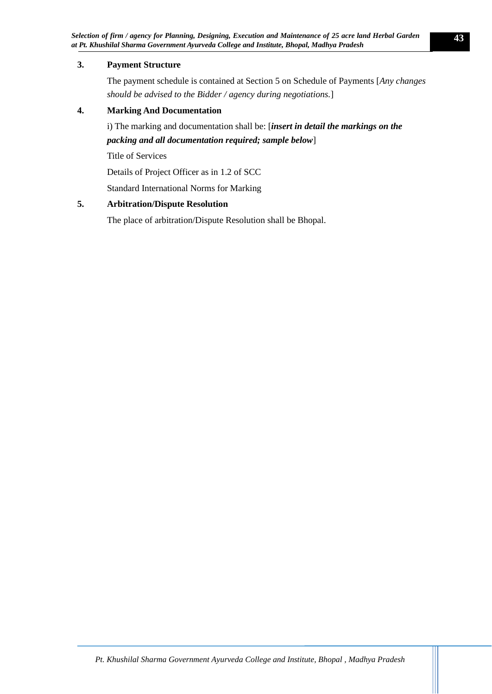# **3. Payment Structure**

The payment schedule is contained at Section 5 on Schedule of Payments [*Any changes should be advised to the Bidder / agency during negotiations.*]

# **4. Marking And Documentation**

i) The marking and documentation shall be: [*insert in detail the markings on the packing and all documentation required; sample below*]

Title of Services

Details of Project Officer as in 1.2 of SCC

Standard International Norms for Marking

# **5. Arbitration/Dispute Resolution**

The place of arbitration/Dispute Resolution shall be Bhopal.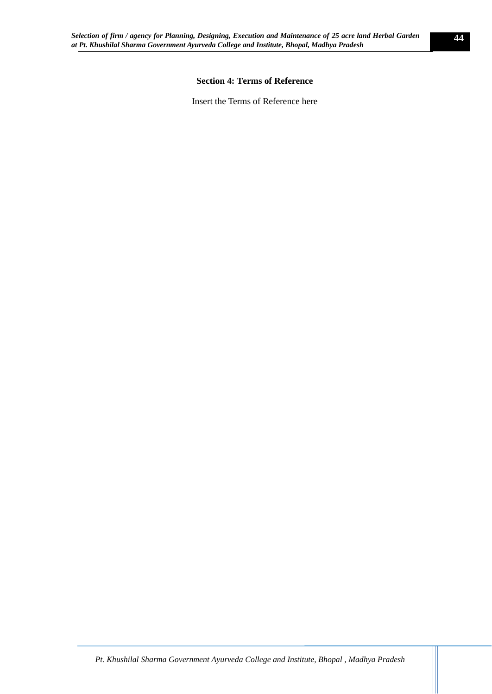# **Section 4: Terms of Reference**

<span id="page-43-0"></span>Insert the Terms of Reference here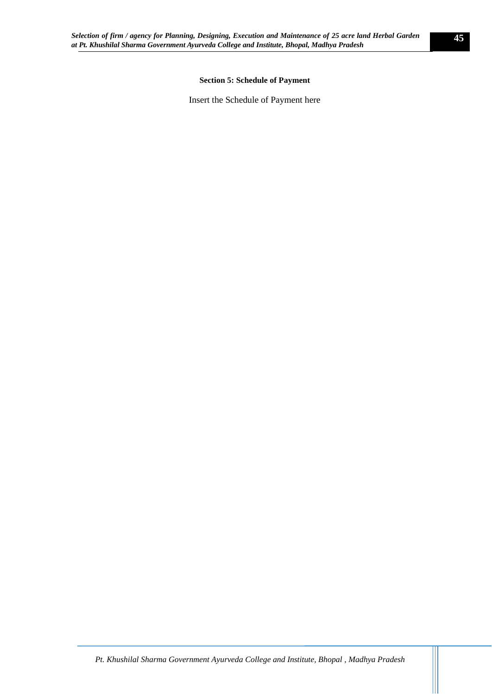### **Section 5: Schedule of Payment**

<span id="page-44-0"></span>Insert the Schedule of Payment here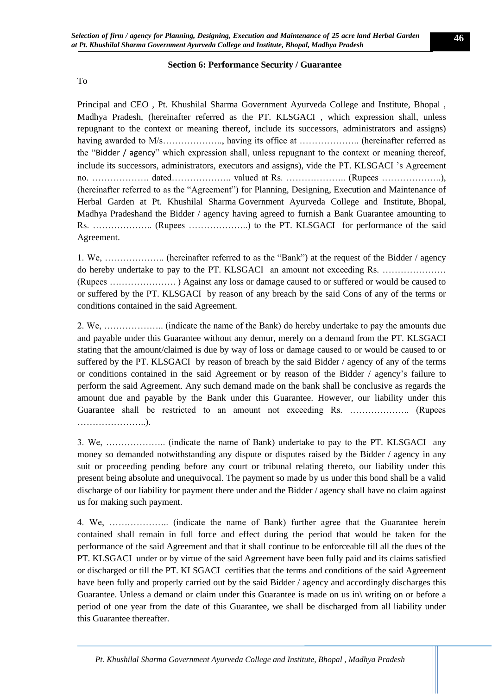### **Section 6: Performance Security / Guarantee**

<span id="page-45-0"></span>To

Principal and CEO , Pt. Khushilal Sharma Government Ayurveda College and Institute, Bhopal , Madhya Pradesh, (hereinafter referred as the PT. KLSGACI , which expression shall, unless repugnant to the context or meaning thereof, include its successors, administrators and assigns) having awarded to M/s…………………….., having its office at ………………... (hereinafter referred as the "Bidder / agency" which expression shall, unless repugnant to the context or meaning thereof, include its successors, administrators, executors and assigns), vide the PT. KLSGACI 's Agreement no. ………………. dated……………….. valued at Rs. ……………….. (Rupees ………………..), (hereinafter referred to as the "Agreement") for Planning, Designing, Execution and Maintenance of Herbal Garden at Pt. Khushilal Sharma Government Ayurveda College and Institute, Bhopal, Madhya Pradeshand the Bidder / agency having agreed to furnish a Bank Guarantee amounting to Rs. ……………….. (Rupees ………………..) to the PT. KLSGACI for performance of the said Agreement.

1. We, ……………….. (hereinafter referred to as the "Bank") at the request of the Bidder / agency do hereby undertake to pay to the PT. KLSGACI an amount not exceeding Rs. ………………… (Rupees …………………. ) Against any loss or damage caused to or suffered or would be caused to or suffered by the PT. KLSGACI by reason of any breach by the said Cons of any of the terms or conditions contained in the said Agreement.

2. We, ……………….. (indicate the name of the Bank) do hereby undertake to pay the amounts due and payable under this Guarantee without any demur, merely on a demand from the PT. KLSGACI stating that the amount/claimed is due by way of loss or damage caused to or would be caused to or suffered by the PT. KLSGACI by reason of breach by the said Bidder / agency of any of the terms or conditions contained in the said Agreement or by reason of the Bidder / agency's failure to perform the said Agreement. Any such demand made on the bank shall be conclusive as regards the amount due and payable by the Bank under this Guarantee. However, our liability under this Guarantee shall be restricted to an amount not exceeding Rs. ……………….. (Rupees …………………..).

3. We, ……………….. (indicate the name of Bank) undertake to pay to the PT. KLSGACI any money so demanded notwithstanding any dispute or disputes raised by the Bidder / agency in any suit or proceeding pending before any court or tribunal relating thereto, our liability under this present being absolute and unequivocal. The payment so made by us under this bond shall be a valid discharge of our liability for payment there under and the Bidder / agency shall have no claim against us for making such payment.

4. We, ……………….. (indicate the name of Bank) further agree that the Guarantee herein contained shall remain in full force and effect during the period that would be taken for the performance of the said Agreement and that it shall continue to be enforceable till all the dues of the PT. KLSGACI under or by virtue of the said Agreement have been fully paid and its claims satisfied or discharged or till the PT. KLSGACI certifies that the terms and conditions of the said Agreement have been fully and properly carried out by the said Bidder / agency and accordingly discharges this Guarantee. Unless a demand or claim under this Guarantee is made on us in\ writing on or before a period of one year from the date of this Guarantee, we shall be discharged from all liability under this Guarantee thereafter.